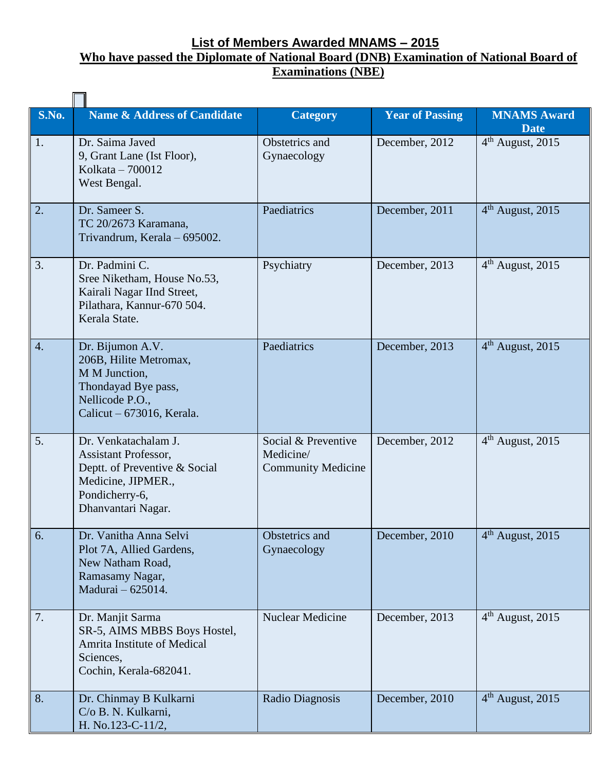## **List of Members Awarded MNAMS – 2015 Who have passed the Diplomate of National Board (DNB) Examination of National Board of Examinations (NBE)**

| S.No.            | <b>Name &amp; Address of Candidate</b>                                                                                                             | <b>Category</b>                                               | <b>Year of Passing</b> | <b>MNAMS Award</b><br><b>Date</b> |
|------------------|----------------------------------------------------------------------------------------------------------------------------------------------------|---------------------------------------------------------------|------------------------|-----------------------------------|
| 1.               | Dr. Saima Javed<br>9, Grant Lane (Ist Floor),<br>Kolkata - 700012<br>West Bengal.                                                                  | Obstetrics and<br>Gynaecology                                 | December, 2012         | $4th$ August, 2015                |
| 2.               | Dr. Sameer S.<br>TC 20/2673 Karamana,<br>Trivandrum, Kerala - 695002.                                                                              | Paediatrics                                                   | December, 2011         | $4th$ August, 2015                |
| 3.               | Dr. Padmini C.<br>Sree Niketham, House No.53,<br>Kairali Nagar IInd Street,<br>Pilathara, Kannur-670 504.<br>Kerala State.                         | Psychiatry                                                    | December, 2013         | $4th$ August, 2015                |
| $\overline{4}$ . | Dr. Bijumon A.V.<br>206B, Hilite Metromax,<br>M M Junction,<br>Thondayad Bye pass,<br>Nellicode P.O.,<br>Calicut $-673016$ , Kerala.               | Paediatrics                                                   | December, 2013         | $4th$ August, 2015                |
| 5.               | Dr. Venkatachalam J.<br><b>Assistant Professor,</b><br>Deptt. of Preventive & Social<br>Medicine, JIPMER.,<br>Pondicherry-6,<br>Dhanvantari Nagar. | Social & Preventive<br>Medicine/<br><b>Community Medicine</b> | December, 2012         | 4 <sup>th</sup> August, 2015      |
| 6.               | Dr. Vanitha Anna Selvi<br>Plot 7A, Allied Gardens,<br>New Natham Road,<br>Ramasamy Nagar,<br>Madurai - 625014.                                     | Obstetrics and<br>Gynaecology                                 | December, 2010         | $4th$ August, 2015                |
| 7.               | Dr. Manjit Sarma<br>SR-5, AIMS MBBS Boys Hostel,<br>Amrita Institute of Medical<br>Sciences,<br>Cochin, Kerala-682041.                             | <b>Nuclear Medicine</b>                                       | December, 2013         | $4th$ August, 2015                |
| 8.               | Dr. Chinmay B Kulkarni<br>C/o B. N. Kulkarni,<br>H. No.123-C-11/2,                                                                                 | Radio Diagnosis                                               | December, 2010         | $4th$ August, 2015                |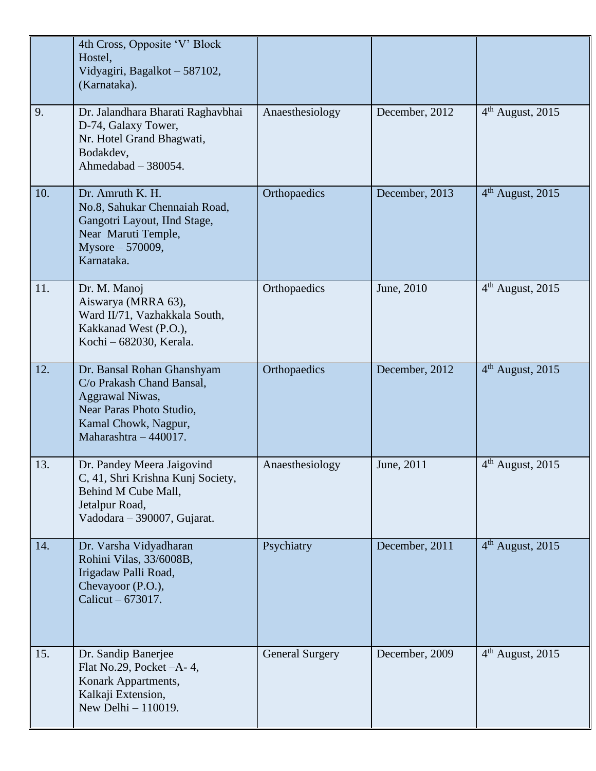|     | 4th Cross, Opposite 'V' Block<br>Hostel,<br>Vidyagiri, Bagalkot - 587102,<br>(Karnataka).                                                               |                        |                |                    |
|-----|---------------------------------------------------------------------------------------------------------------------------------------------------------|------------------------|----------------|--------------------|
| 9.  | Dr. Jalandhara Bharati Raghavbhai<br>D-74, Galaxy Tower,<br>Nr. Hotel Grand Bhagwati,<br>Bodakdev,<br>Ahmedabad $-380054$ .                             | Anaesthesiology        | December, 2012 | $4th$ August, 2015 |
| 10. | Dr. Amruth K. H.<br>No.8, Sahukar Chennaiah Road,<br>Gangotri Layout, IInd Stage,<br>Near Maruti Temple,<br>Mysore - 570009,<br>Karnataka.              | Orthopaedics           | December, 2013 | $4th$ August, 2015 |
| 11. | Dr. M. Manoj<br>Aiswarya (MRRA 63),<br>Ward II/71, Vazhakkala South,<br>Kakkanad West (P.O.),<br>Kochi – 682030, Kerala.                                | Orthopaedics           | June, 2010     | $4th$ August, 2015 |
| 12. | Dr. Bansal Rohan Ghanshyam<br>C/o Prakash Chand Bansal,<br>Aggrawal Niwas,<br>Near Paras Photo Studio,<br>Kamal Chowk, Nagpur,<br>Maharashtra - 440017. | Orthopaedics           | December, 2012 | $4th$ August, 2015 |
| 13. | Dr. Pandey Meera Jaigovind<br>C, 41, Shri Krishna Kunj Society,<br>Behind M Cube Mall,<br>Jetalpur Road,<br>Vadodara - 390007, Gujarat.                 | Anaesthesiology        | June, 2011     | $4th$ August, 2015 |
| 14. | Dr. Varsha Vidyadharan<br>Rohini Vilas, 33/6008B,<br>Irigadaw Palli Road,<br>Chevayoor (P.O.),<br>Calicut $-673017$ .                                   | Psychiatry             | December, 2011 | $4th$ August, 2015 |
| 15. | Dr. Sandip Banerjee<br>Flat No.29, Pocket $-A-4$ ,<br>Konark Appartments,<br>Kalkaji Extension,<br>New Delhi - 110019.                                  | <b>General Surgery</b> | December, 2009 | $4th$ August, 2015 |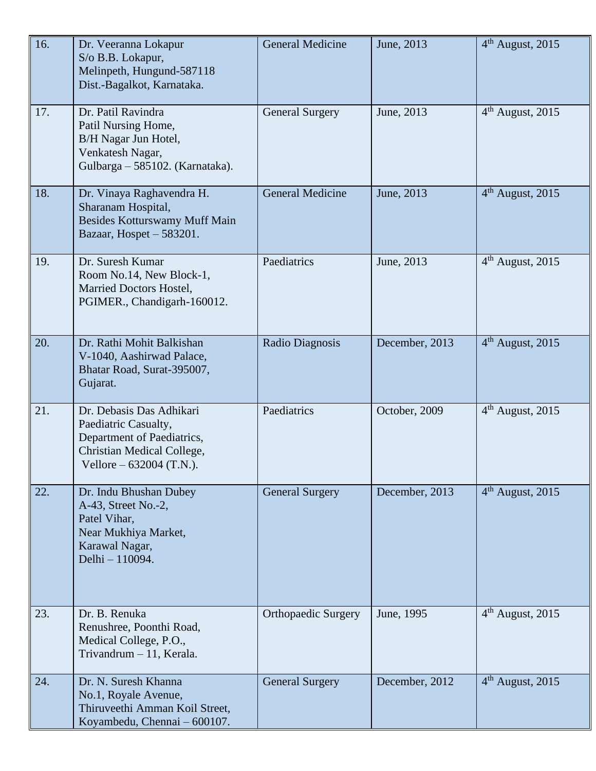| 16. | Dr. Veeranna Lokapur<br>S/o B.B. Lokapur,<br>Melinpeth, Hungund-587118<br>Dist.-Bagalkot, Karnataka.                                      | <b>General Medicine</b>    | June, 2013     | $4th$ August, 2015           |
|-----|-------------------------------------------------------------------------------------------------------------------------------------------|----------------------------|----------------|------------------------------|
| 17. | Dr. Patil Ravindra<br>Patil Nursing Home,<br>B/H Nagar Jun Hotel,<br>Venkatesh Nagar,<br>Gulbarga - 585102. (Karnataka).                  | <b>General Surgery</b>     | June, 2013     | 4 <sup>th</sup> August, 2015 |
| 18. | Dr. Vinaya Raghavendra H.<br>Sharanam Hospital,<br>Besides Kotturswamy Muff Main<br>Bazaar, Hospet - 583201.                              | <b>General Medicine</b>    | June, 2013     | $4th$ August, 2015           |
| 19. | Dr. Suresh Kumar<br>Room No.14, New Block-1,<br>Married Doctors Hostel,<br>PGIMER., Chandigarh-160012.                                    | Paediatrics                | June, 2013     | $4th$ August, 2015           |
| 20. | Dr. Rathi Mohit Balkishan<br>V-1040, Aashirwad Palace,<br>Bhatar Road, Surat-395007,<br>Gujarat.                                          | Radio Diagnosis            | December, 2013 | $4th$ August, 2015           |
| 21. | Dr. Debasis Das Adhikari<br>Paediatric Casualty,<br>Department of Paediatrics,<br>Christian Medical College,<br>Vellore $-632004$ (T.N.). | Paediatrics                | October, 2009  | $4th$ August, 2015           |
| 22. | Dr. Indu Bhushan Dubey<br>A-43, Street No.-2,<br>Patel Vihar,<br>Near Mukhiya Market,<br>Karawal Nagar,<br>Delhi - 110094.                | <b>General Surgery</b>     | December, 2013 | 4 <sup>th</sup> August, 2015 |
| 23. | Dr. B. Renuka<br>Renushree, Poonthi Road,<br>Medical College, P.O.,<br>Trivandrum - 11, Kerala.                                           | <b>Orthopaedic Surgery</b> | June, 1995     | 4 <sup>th</sup> August, 2015 |
| 24. | Dr. N. Suresh Khanna<br>No.1, Royale Avenue,<br>Thiruveethi Amman Koil Street,<br>Koyambedu, Chennai - 600107.                            | <b>General Surgery</b>     | December, 2012 | $4th$ August, 2015           |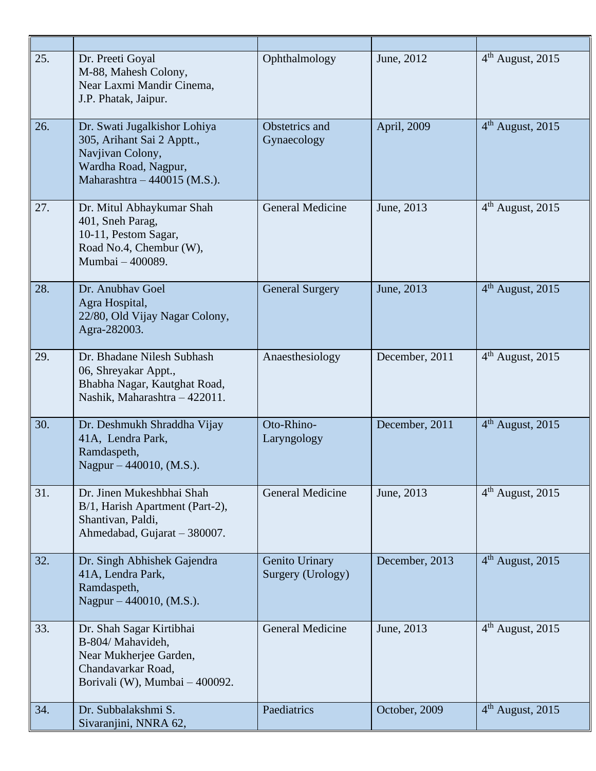| 25. | Dr. Preeti Goyal<br>M-88, Mahesh Colony,<br>Near Laxmi Mandir Cinema,<br>J.P. Phatak, Jaipur.                                          | Ophthalmology                       | June, 2012     | $4th$ August, 2015           |
|-----|----------------------------------------------------------------------------------------------------------------------------------------|-------------------------------------|----------------|------------------------------|
| 26. | Dr. Swati Jugalkishor Lohiya<br>305, Arihant Sai 2 Apptt.,<br>Navjivan Colony,<br>Wardha Road, Nagpur,<br>Maharashtra - 440015 (M.S.). | Obstetrics and<br>Gynaecology       | April, 2009    | 4 <sup>th</sup> August, 2015 |
| 27. | Dr. Mitul Abhaykumar Shah<br>401, Sneh Parag,<br>10-11, Pestom Sagar,<br>Road No.4, Chembur (W),<br>Mumbai - 400089.                   | <b>General Medicine</b>             | June, 2013     | $4th$ August, 2015           |
| 28. | Dr. Anubhay Goel<br>Agra Hospital,<br>22/80, Old Vijay Nagar Colony,<br>Agra-282003.                                                   | <b>General Surgery</b>              | June, 2013     | 4 <sup>th</sup> August, 2015 |
| 29. | Dr. Bhadane Nilesh Subhash<br>06, Shreyakar Appt.,<br>Bhabha Nagar, Kautghat Road,<br>Nashik, Maharashtra - 422011.                    | Anaesthesiology                     | December, 2011 | $4th$ August, 2015           |
| 30. | Dr. Deshmukh Shraddha Vijay<br>41A, Lendra Park,<br>Ramdaspeth,<br>Nagpur – 440010, (M.S.).                                            | Oto-Rhino-<br>Laryngology           | December, 2011 | $4th$ August, 2015           |
| 31. | Dr. Jinen Mukeshbhai Shah<br>B/1, Harish Apartment (Part-2),<br>Shantivan, Paldi,<br>Ahmedabad, Gujarat - 380007.                      | <b>General Medicine</b>             | June, 2013     | 4 <sup>th</sup> August, 2015 |
| 32. | Dr. Singh Abhishek Gajendra<br>41A, Lendra Park,<br>Ramdaspeth,<br>Nagpur – 440010, (M.S.).                                            | Genito Urinary<br>Surgery (Urology) | December, 2013 | $4th$ August, 2015           |
| 33. | Dr. Shah Sagar Kirtibhai<br>B-804/ Mahavideh,<br>Near Mukherjee Garden,<br>Chandavarkar Road,<br>Borivali (W), Mumbai - 400092.        | <b>General Medicine</b>             | June, 2013     | $4th$ August, 2015           |
| 34. | Dr. Subbalakshmi S.<br>Sivaranjini, NNRA 62,                                                                                           | Paediatrics                         | October, 2009  | $4th$ August, 2015           |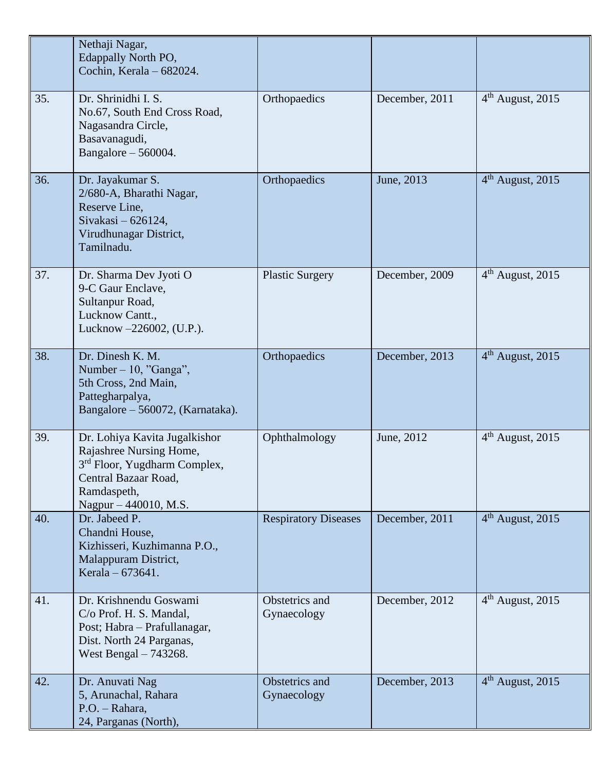|     | Nethaji Nagar,<br><b>Edappally North PO,</b><br>Cochin, Kerala - 682024.                                                                                             |                               |                |                              |
|-----|----------------------------------------------------------------------------------------------------------------------------------------------------------------------|-------------------------------|----------------|------------------------------|
| 35. | Dr. Shrinidhi I. S.<br>No.67, South End Cross Road,<br>Nagasandra Circle,<br>Basavanagudi,<br>Bangalore $-560004$ .                                                  | Orthopaedics                  | December, 2011 | $4th$ August, 2015           |
| 36. | Dr. Jayakumar S.<br>2/680-A, Bharathi Nagar,<br>Reserve Line,<br>Sivakasi - 626124,<br>Virudhunagar District,<br>Tamilnadu.                                          | Orthopaedics                  | June, 2013     | $4th$ August, 2015           |
| 37. | Dr. Sharma Dev Jyoti O<br>9-C Gaur Enclave,<br>Sultanpur Road,<br>Lucknow Cantt.,<br>Lucknow -226002, (U.P.).                                                        | <b>Plastic Surgery</b>        | December, 2009 | 4 <sup>th</sup> August, 2015 |
| 38. | Dr. Dinesh K. M.<br>Number $-10$ , "Ganga",<br>5th Cross, 2nd Main,<br>Pattegharpalya,<br>Bangalore - 560072, (Karnataka).                                           | Orthopaedics                  | December, 2013 | $4th$ August, 2015           |
| 39. | Dr. Lohiya Kavita Jugalkishor<br>Rajashree Nursing Home,<br>3 <sup>rd</sup> Floor, Yugdharm Complex,<br>Central Bazaar Road,<br>Ramdaspeth,<br>Nagpur – 440010, M.S. | Ophthalmology                 | June, 2012     | $4th$ August, 2015           |
| 40. | Dr. Jabeed P.<br>Chandni House,<br>Kizhisseri, Kuzhimanna P.O.,<br>Malappuram District,<br>Kerala – 673641.                                                          | <b>Respiratory Diseases</b>   | December, 2011 | 4 <sup>th</sup> August, 2015 |
| 41. | Dr. Krishnendu Goswami<br>C/o Prof. H. S. Mandal,<br>Post; Habra - Prafullanagar,<br>Dist. North 24 Parganas,<br>West Bengal $-743268$ .                             | Obstetrics and<br>Gynaecology | December, 2012 | $4th$ August, 2015           |
| 42. | Dr. Anuvati Nag<br>5, Arunachal, Rahara<br>P.O. - Rahara,<br>24, Parganas (North),                                                                                   | Obstetrics and<br>Gynaecology | December, 2013 | $4th$ August, 2015           |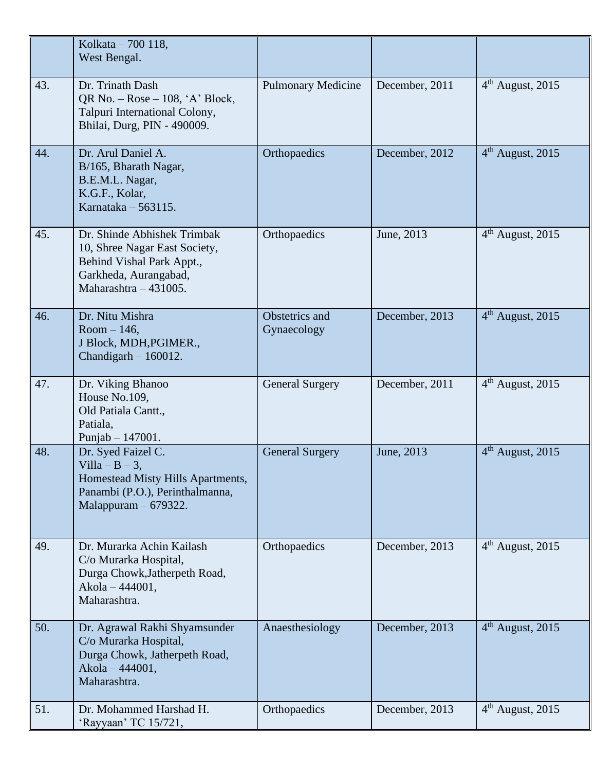|     | Kolkata – 700 118,<br>West Bengal.                                                                                                          |                               |                |                              |
|-----|---------------------------------------------------------------------------------------------------------------------------------------------|-------------------------------|----------------|------------------------------|
| 43. | Dr. Trinath Dash<br>QR No. $-$ Rose $-$ 108, 'A' Block,<br>Talpuri International Colony,<br>Bhilai, Durg, PIN - 490009.                     | <b>Pulmonary Medicine</b>     | December, 2011 | $4th$ August, 2015           |
| 44. | Dr. Arul Daniel A.<br>B/165, Bharath Nagar,<br>B.E.M.L. Nagar,<br>K.G.F., Kolar,<br>Karnataka $-563115$ .                                   | Orthopaedics                  | December, 2012 | $4th$ August, 2015           |
| 45. | Dr. Shinde Abhishek Trimbak<br>10, Shree Nagar East Society,<br>Behind Vishal Park Appt.,<br>Garkheda, Aurangabad,<br>Maharashtra - 431005. | Orthopaedics                  | June, 2013     | $4th$ August, 2015           |
| 46. | Dr. Nitu Mishra<br>$Room-146$ ,<br>J Block, MDH, PGIMER.,<br>Chandigarh $-160012$ .                                                         | Obstetrics and<br>Gynaecology | December, 2013 | $4th$ August, 2015           |
| 47. | Dr. Viking Bhanoo<br>House No.109,<br>Old Patiala Cantt.,<br>Patiala,<br>Punjab $- 147001$ .                                                | <b>General Surgery</b>        | December, 2011 | $4th$ August, 2015           |
| 48. | Dr. Syed Faizel C.<br>Villa $-B-3$ ,<br>Homestead Misty Hills Apartments,<br>Panambi (P.O.), Perinthalmanna,<br>Malappuram $-679322$ .      | <b>General Surgery</b>        | June, 2013     | 4 <sup>th</sup> August, 2015 |
| 49. | Dr. Murarka Achin Kailash<br>C/o Murarka Hospital,<br>Durga Chowk, Jatherpeth Road,<br>Akola - 444001,<br>Maharashtra.                      | Orthopaedics                  | December, 2013 | $4th$ August, 2015           |
| 50. | Dr. Agrawal Rakhi Shyamsunder<br>C/o Murarka Hospital,<br>Durga Chowk, Jatherpeth Road,<br>Akola - 444001,<br>Maharashtra.                  | Anaesthesiology               | December, 2013 | $4th$ August, 2015           |
| 51. | Dr. Mohammed Harshad H.<br>'Rayyaan' TC 15/721,                                                                                             | Orthopaedics                  | December, 2013 | $4th$ August, 2015           |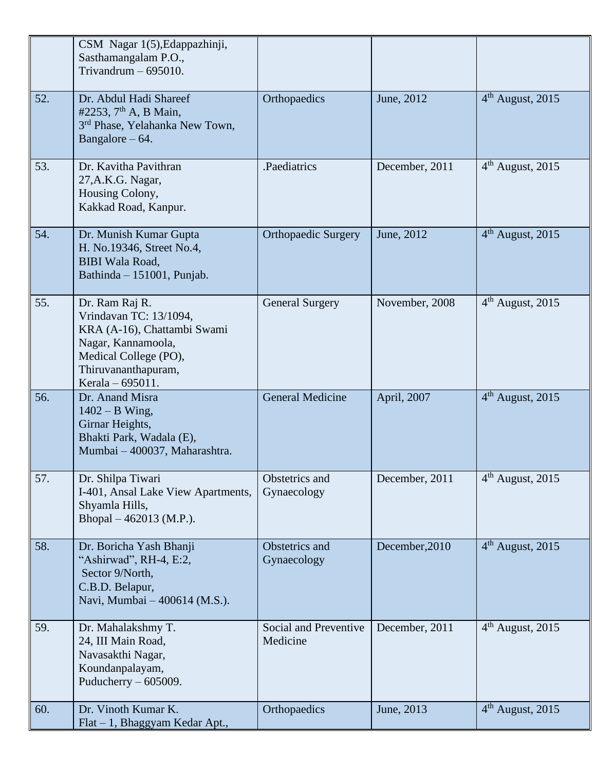|     | CSM Nagar 1(5), Edappazhinji,<br>Sasthamangalam P.O.,<br>Trivandrum $-695010$ .                                                                                   |                                   |                |                    |
|-----|-------------------------------------------------------------------------------------------------------------------------------------------------------------------|-----------------------------------|----------------|--------------------|
| 52. | Dr. Abdul Hadi Shareef<br>#2253, $7th$ A, B Main,<br>3 <sup>rd</sup> Phase, Yelahanka New Town,<br>Bangalore $-64$ .                                              | Orthopaedics                      | June, 2012     | $4th$ August, 2015 |
| 53. | Dr. Kavitha Pavithran<br>27, A.K.G. Nagar,<br>Housing Colony,<br>Kakkad Road, Kanpur.                                                                             | .Paediatrics                      | December, 2011 | $4th$ August, 2015 |
| 54. | Dr. Munish Kumar Gupta<br>H. No.19346, Street No.4,<br><b>BIBI</b> Wala Road,<br>Bathinda - 151001, Punjab.                                                       | <b>Orthopaedic Surgery</b>        | June, 2012     | $4th$ August, 2015 |
| 55. | Dr. Ram Raj R.<br>Vrindavan TC: 13/1094,<br>KRA (A-16), Chattambi Swami<br>Nagar, Kannamoola,<br>Medical College (PO),<br>Thiruvananthapuram,<br>Kerala – 695011. | <b>General Surgery</b>            | November, 2008 | $4th$ August, 2015 |
| 56. | Dr. Anand Misra<br>$1402 - B$ Wing,<br>Girnar Heights,<br>Bhakti Park, Wadala (E),<br>Mumbai - 400037, Maharashtra.                                               | <b>General Medicine</b>           | April, 2007    | $4th$ August, 2015 |
| 57. | Dr. Shilpa Tiwari<br>I-401, Ansal Lake View Apartments,<br>Shyamla Hills,<br>Bhopal $-462013$ (M.P.).                                                             | Obstetrics and<br>Gynaecology     | December, 2011 | $4th$ August, 2015 |
| 58. | Dr. Boricha Yash Bhanji<br>"Ashirwad", RH-4, E:2,<br>Sector 9/North,<br>C.B.D. Belapur,<br>Navi, Mumbai - 400614 (M.S.).                                          | Obstetrics and<br>Gynaecology     | December, 2010 | $4th$ August, 2015 |
| 59. | Dr. Mahalakshmy T.<br>24, III Main Road,<br>Navasakthi Nagar,<br>Koundanpalayam,<br>Puducherry $-605009$ .                                                        | Social and Preventive<br>Medicine | December, 2011 | $4th$ August, 2015 |
| 60. | Dr. Vinoth Kumar K.<br>Flat - 1, Bhaggyam Kedar Apt.,                                                                                                             | Orthopaedics                      | June, 2013     | $4th$ August, 2015 |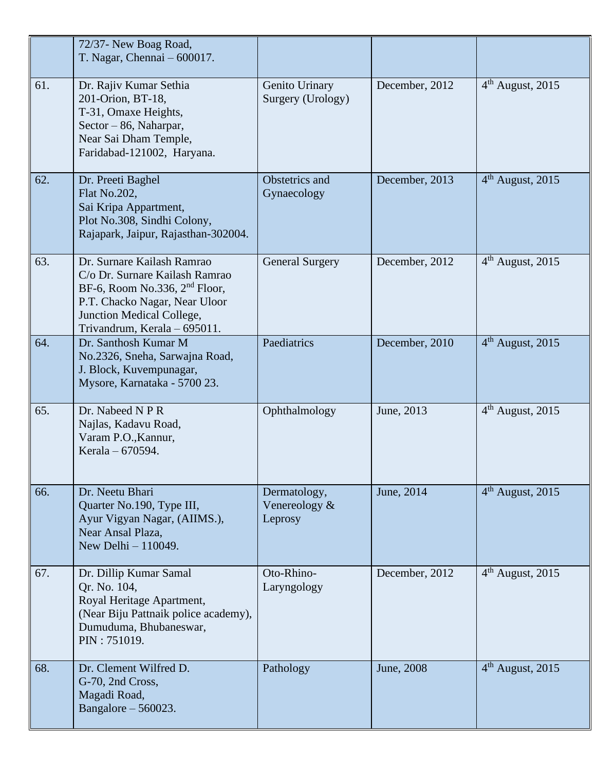|     | 72/37- New Boag Road,<br>T. Nagar, Chennai - 600017.                                                                                                                                                    |                                          |                |                    |
|-----|---------------------------------------------------------------------------------------------------------------------------------------------------------------------------------------------------------|------------------------------------------|----------------|--------------------|
| 61. | Dr. Rajiv Kumar Sethia<br>201-Orion, BT-18,<br>T-31, Omaxe Heights,<br>Sector – 86, Naharpar,<br>Near Sai Dham Temple,<br>Faridabad-121002, Haryana.                                                    | Genito Urinary<br>Surgery (Urology)      | December, 2012 | $4th$ August, 2015 |
| 62. | Dr. Preeti Baghel<br>Flat No.202,<br>Sai Kripa Appartment,<br>Plot No.308, Sindhi Colony,<br>Rajapark, Jaipur, Rajasthan-302004.                                                                        | Obstetrics and<br>Gynaecology            | December, 2013 | $4th$ August, 2015 |
| 63. | Dr. Surnare Kailash Ramrao<br>C/o Dr. Surnare Kailash Ramrao<br>BF-6, Room No.336, 2 <sup>nd</sup> Floor,<br>P.T. Chacko Nagar, Near Uloor<br>Junction Medical College,<br>Trivandrum, Kerala - 695011. | <b>General Surgery</b>                   | December, 2012 | $4th$ August, 2015 |
| 64. | Dr. Santhosh Kumar M<br>No.2326, Sneha, Sarwajna Road,<br>J. Block, Kuvempunagar,<br>Mysore, Karnataka - 5700 23.                                                                                       | Paediatrics                              | December, 2010 | $4th$ August, 2015 |
| 65. | Dr. Nabeed N P R<br>Najlas, Kadavu Road,<br>Varam P.O., Kannur,<br>Kerala – 670594.                                                                                                                     | Ophthalmology                            | June, 2013     | $4th$ August, 2015 |
| 66. | Dr. Neetu Bhari<br>Quarter No.190, Type III,<br>Ayur Vigyan Nagar, (AIIMS.),<br>Near Ansal Plaza,<br>New Delhi - 110049.                                                                                | Dermatology,<br>Venereology &<br>Leprosy | June, 2014     | $4th$ August, 2015 |
| 67. | Dr. Dillip Kumar Samal<br>Qr. No. 104,<br>Royal Heritage Apartment,<br>(Near Biju Pattnaik police academy),<br>Dumuduma, Bhubaneswar,<br>PIN: 751019.                                                   | Oto-Rhino-<br>Laryngology                | December, 2012 | $4th$ August, 2015 |
| 68. | Dr. Clement Wilfred D.<br>G-70, 2nd Cross,<br>Magadi Road,<br>Bangalore $-560023$ .                                                                                                                     | Pathology                                | June, 2008     | $4th$ August, 2015 |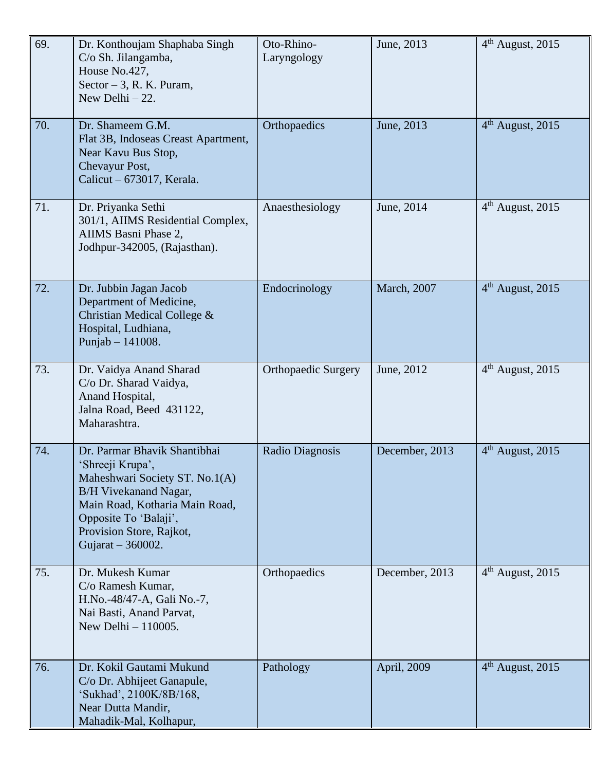| 69. | Dr. Konthoujam Shaphaba Singh<br>C/o Sh. Jilangamba,<br>House No.427,<br>Sector $-3$ , R. K. Puram,<br>New Delhi $-22$ .                                                                                                         | Oto-Rhino-<br>Laryngology  | June, 2013          | $4th$ August, 2015           |
|-----|----------------------------------------------------------------------------------------------------------------------------------------------------------------------------------------------------------------------------------|----------------------------|---------------------|------------------------------|
| 70. | Dr. Shameem G.M.<br>Flat 3B, Indoseas Creast Apartment,<br>Near Kavu Bus Stop,<br>Chevayur Post,<br>Calicut $-673017$ , Kerala.                                                                                                  | Orthopaedics               | June, 2013          | $4th$ August, 2015           |
| 71. | Dr. Priyanka Sethi<br>301/1, AIIMS Residential Complex,<br>AIIMS Basni Phase 2,<br>Jodhpur-342005, (Rajasthan).                                                                                                                  | Anaesthesiology            | June, 2014          | $4th$ August, 2015           |
| 72. | Dr. Jubbin Jagan Jacob<br>Department of Medicine,<br>Christian Medical College &<br>Hospital, Ludhiana,<br>Punjab $- 141008$ .                                                                                                   | Endocrinology              | <b>March</b> , 2007 | $4th$ August, 2015           |
| 73. | Dr. Vaidya Anand Sharad<br>C/o Dr. Sharad Vaidya,<br>Anand Hospital,<br>Jalna Road, Beed 431122,<br>Maharashtra.                                                                                                                 | <b>Orthopaedic Surgery</b> | June, 2012          | 4 <sup>th</sup> August, 2015 |
| 74. | Dr. Parmar Bhavik Shantibhai<br>'Shreeji Krupa',<br>Maheshwari Society ST. No.1(A)<br><b>B/H Vivekanand Nagar,</b><br>Main Road, Kotharia Main Road,<br>Opposite To 'Balaji',<br>Provision Store, Rajkot,<br>Gujarat $-360002$ . | Radio Diagnosis            | December, 2013      | $4th$ August, 2015           |
| 75. | Dr. Mukesh Kumar<br>C/o Ramesh Kumar,<br>H.No.-48/47-A, Gali No.-7,<br>Nai Basti, Anand Parvat,<br>New Delhi $-110005$ .                                                                                                         | Orthopaedics               | December, 2013      | $4th$ August, 2015           |
| 76. | Dr. Kokil Gautami Mukund<br>C/o Dr. Abhijeet Ganapule,<br>'Sukhad', 2100K/8B/168,<br>Near Dutta Mandir,<br>Mahadik-Mal, Kolhapur,                                                                                                | Pathology                  | April, 2009         | $4th$ August, 2015           |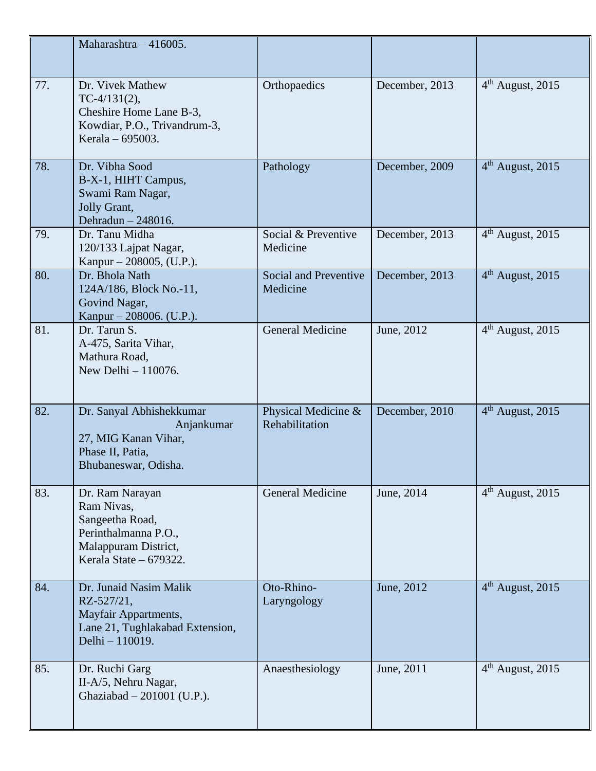|     | Maharashtra - 416005.                                                                                                      |                                       |                |                              |
|-----|----------------------------------------------------------------------------------------------------------------------------|---------------------------------------|----------------|------------------------------|
| 77. | Dr. Vivek Mathew<br>$TC-4/131(2),$<br>Cheshire Home Lane B-3,<br>Kowdiar, P.O., Trivandrum-3,<br>Kerala – 695003.          | Orthopaedics                          | December, 2013 | $4th$ August, 2015           |
| 78. | Dr. Vibha Sood<br>B-X-1, HIHT Campus,<br>Swami Ram Nagar,<br>Jolly Grant,<br>Dehradun - 248016.                            | Pathology                             | December, 2009 | $4th$ August, 2015           |
| 79. | Dr. Tanu Midha<br>120/133 Lajpat Nagar,<br>Kanpur – 208005, (U.P.).                                                        | Social & Preventive<br>Medicine       | December, 2013 | $4th$ August, 2015           |
| 80. | Dr. Bhola Nath<br>124A/186, Block No.-11,<br>Govind Nagar,<br>Kanpur – 208006. (U.P.).                                     | Social and Preventive<br>Medicine     | December, 2013 | $4th$ August, 2015           |
| 81. | Dr. Tarun S.<br>A-475, Sarita Vihar,<br>Mathura Road,<br>New Delhi - 110076.                                               | General Medicine                      | June, 2012     | $4th$ August, 2015           |
| 82. | Dr. Sanyal Abhishekkumar<br>Anjankumar<br>27, MIG Kanan Vihar,<br>Phase II, Patia,<br>Bhubaneswar, Odisha.                 | Physical Medicine &<br>Rehabilitation | December, 2010 | $4th$ August, 2015           |
| 83. | Dr. Ram Narayan<br>Ram Nivas,<br>Sangeetha Road,<br>Perinthalmanna P.O.,<br>Malappuram District,<br>Kerala State - 679322. | <b>General Medicine</b>               | June, 2014     | 4 <sup>th</sup> August, 2015 |
| 84. | Dr. Junaid Nasim Malik<br>RZ-527/21,<br>Mayfair Appartments,<br>Lane 21, Tughlakabad Extension,<br>Delhi - 110019.         | Oto-Rhino-<br>Laryngology             | June, 2012     | 4 <sup>th</sup> August, 2015 |
| 85. | Dr. Ruchi Garg<br>II-A/5, Nehru Nagar,<br>Ghaziabad - 201001 (U.P.).                                                       | Anaesthesiology                       | June, 2011     | $4th$ August, 2015           |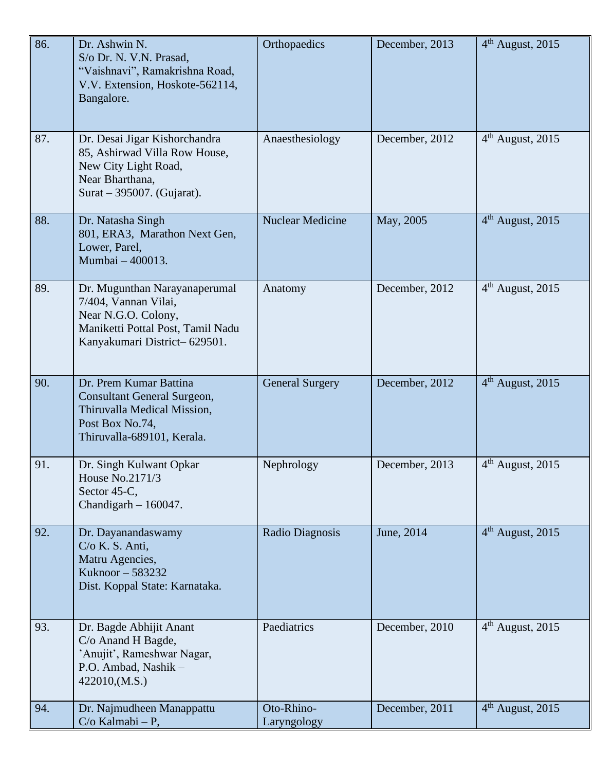| 86. | Dr. Ashwin N.<br>S/o Dr. N. V.N. Prasad,<br>"Vaishnavi", Ramakrishna Road,<br>V.V. Extension, Hoskote-562114,<br>Bangalore.                       | Orthopaedics              | December, 2013 | $4th$ August, 2015 |
|-----|---------------------------------------------------------------------------------------------------------------------------------------------------|---------------------------|----------------|--------------------|
| 87. | Dr. Desai Jigar Kishorchandra<br>85, Ashirwad Villa Row House,<br>New City Light Road,<br>Near Bharthana,<br>Surat – 395007. (Gujarat).           | Anaesthesiology           | December, 2012 | $4th$ August, 2015 |
| 88. | Dr. Natasha Singh<br>801, ERA3, Marathon Next Gen,<br>Lower, Parel,<br>Mumbai - 400013.                                                           | <b>Nuclear Medicine</b>   | May, 2005      | $4th$ August, 2015 |
| 89. | Dr. Mugunthan Narayanaperumal<br>7/404, Vannan Vilai,<br>Near N.G.O. Colony,<br>Maniketti Pottal Post, Tamil Nadu<br>Kanyakumari District-629501. | Anatomy                   | December, 2012 | $4th$ August, 2015 |
| 90. | Dr. Prem Kumar Battina<br><b>Consultant General Surgeon,</b><br>Thiruvalla Medical Mission,<br>Post Box No.74,<br>Thiruvalla-689101, Kerala.      | <b>General Surgery</b>    | December, 2012 | $4th$ August, 2015 |
| 91. | Dr. Singh Kulwant Opkar<br>House No.2171/3<br>Sector 45-C,<br>Chandigarh $-160047$ .                                                              | Nephrology                | December, 2013 | $4th$ August, 2015 |
| 92. | Dr. Dayanandaswamy<br>$C/O$ K. S. Anti,<br>Matru Agencies,<br>Kuknoor – 583232<br>Dist. Koppal State: Karnataka.                                  | Radio Diagnosis           | June, 2014     | $4th$ August, 2015 |
| 93. | Dr. Bagde Abhijit Anant<br>C/o Anand H Bagde,<br>'Anujit', Rameshwar Nagar,<br>P.O. Ambad, Nashik -<br>422010, (M.S.)                             | Paediatrics               | December, 2010 | $4th$ August, 2015 |
| 94. | Dr. Najmudheen Manappattu<br>$C/O$ Kalmabi – P,                                                                                                   | Oto-Rhino-<br>Laryngology | December, 2011 | $4th$ August, 2015 |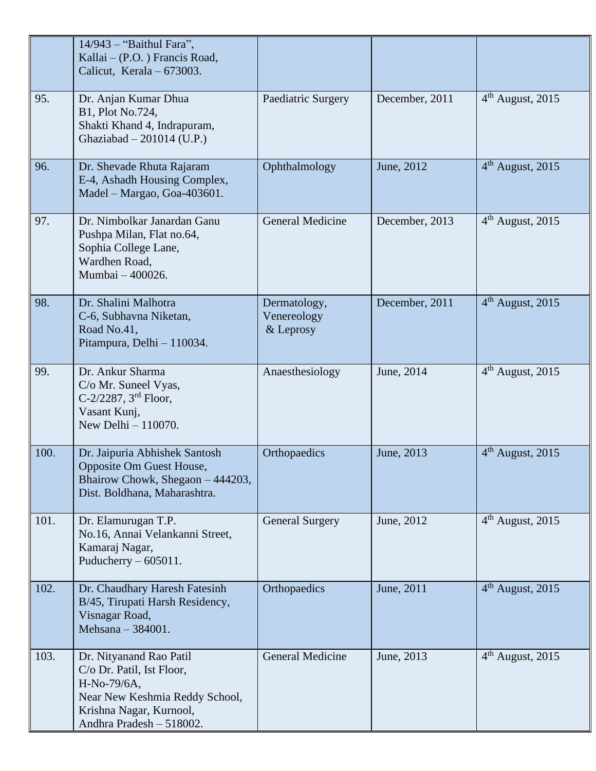|      | 14/943 - "Baithul Fara",<br>Kallai – (P.O.) Francis Road,<br>Calicut, Kerala $-673003$ .                                                                     |                                          |                |                              |
|------|--------------------------------------------------------------------------------------------------------------------------------------------------------------|------------------------------------------|----------------|------------------------------|
| 95.  | Dr. Anjan Kumar Dhua<br>B1, Plot No.724,<br>Shakti Khand 4, Indrapuram,<br>Ghaziabad $-201014$ (U.P.)                                                        | Paediatric Surgery                       | December, 2011 | 4 <sup>th</sup> August, 2015 |
| 96.  | Dr. Shevade Rhuta Rajaram<br>E-4, Ashadh Housing Complex,<br>Madel - Margao, Goa-403601.                                                                     | Ophthalmology                            | June, 2012     | $4th$ August, 2015           |
| 97.  | Dr. Nimbolkar Janardan Ganu<br>Pushpa Milan, Flat no.64,<br>Sophia College Lane,<br>Wardhen Road,<br>Mumbai - 400026.                                        | <b>General Medicine</b>                  | December, 2013 | $4th$ August, 2015           |
| 98.  | Dr. Shalini Malhotra<br>C-6, Subhavna Niketan,<br>Road No.41,<br>Pitampura, Delhi - 110034.                                                                  | Dermatology,<br>Venereology<br>& Leprosy | December, 2011 | $4th$ August, 2015           |
| 99.  | Dr. Ankur Sharma<br>C/o Mr. Suneel Vyas,<br>C-2/2287, $3^{\text{rd}}$ Floor,<br>Vasant Kunj,<br>New Delhi $-110070$ .                                        | Anaesthesiology                          | June, 2014     | $4th$ August, 2015           |
| 100. | Dr. Jaipuria Abhishek Santosh<br>Opposite Om Guest House,<br>Bhairow Chowk, Shegaon - 444203,<br>Dist. Boldhana, Maharashtra.                                | Orthopaedics                             | June, 2013     | 4 <sup>th</sup> August, 2015 |
| 101. | Dr. Elamurugan T.P.<br>No.16, Annai Velankanni Street,<br>Kamaraj Nagar,<br>Puducherry $-605011$ .                                                           | <b>General Surgery</b>                   | June, 2012     | $4th$ August, 2015           |
| 102. | Dr. Chaudhary Haresh Fatesinh<br>B/45, Tirupati Harsh Residency,<br>Visnagar Road,<br>Mehsana - 384001.                                                      | Orthopaedics                             | June, 2011     | $4th$ August, 2015           |
| 103. | Dr. Nityanand Rao Patil<br>C/o Dr. Patil, Ist Floor,<br>H-No-79/6A,<br>Near New Keshmia Reddy School,<br>Krishna Nagar, Kurnool,<br>Andhra Pradesh - 518002. | General Medicine                         | June, 2013     | $4th$ August, 2015           |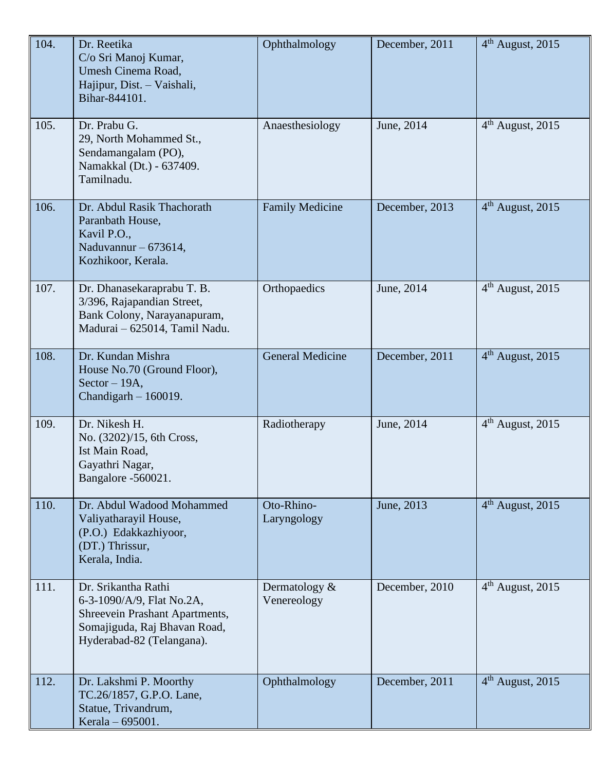| 104. | Dr. Reetika<br>C/o Sri Manoj Kumar,<br>Umesh Cinema Road,<br>Hajipur, Dist. - Vaishali,<br>Bihar-844101.                                        | Ophthalmology                   | December, 2011 | $4th$ August, 2015           |
|------|-------------------------------------------------------------------------------------------------------------------------------------------------|---------------------------------|----------------|------------------------------|
| 105. | Dr. Prabu G.<br>29, North Mohammed St.,<br>Sendamangalam (PO),<br>Namakkal (Dt.) - 637409.<br>Tamilnadu.                                        | Anaesthesiology                 | June, 2014     | $4th$ August, 2015           |
| 106. | Dr. Abdul Rasik Thachorath<br>Paranbath House,<br>Kavil P.O.,<br>Naduvannur $-673614$ ,<br>Kozhikoor, Kerala.                                   | <b>Family Medicine</b>          | December, 2013 | 4 <sup>th</sup> August, 2015 |
| 107. | Dr. Dhanasekaraprabu T. B.<br>3/396, Rajapandian Street,<br>Bank Colony, Narayanapuram,<br>Madurai - 625014, Tamil Nadu.                        | Orthopaedics                    | June, 2014     | $4th$ August, 2015           |
| 108. | Dr. Kundan Mishra<br>House No.70 (Ground Floor),<br>$Sector - 19A,$<br>Chandigarh $-160019$ .                                                   | <b>General Medicine</b>         | December, 2011 | $4th$ August, 2015           |
| 109. | Dr. Nikesh H.<br>No. (3202)/15, 6th Cross,<br>Ist Main Road,<br>Gayathri Nagar,<br>Bangalore -560021.                                           | Radiotherapy                    | June, 2014     | $4th$ August, 2015           |
| 110. | Dr. Abdul Wadood Mohammed<br>Valiyatharayil House,<br>(P.O.) Edakkazhiyoor,<br>(DT.) Thrissur,<br>Kerala, India.                                | Oto-Rhino-<br>Laryngology       | June, 2013     | $4th$ August, 2015           |
| 111. | Dr. Srikantha Rathi<br>6-3-1090/A/9, Flat No.2A,<br>Shreevein Prashant Apartments,<br>Somajiguda, Raj Bhavan Road,<br>Hyderabad-82 (Telangana). | Dermatology $\&$<br>Venereology | December, 2010 | $4th$ August, 2015           |
| 112. | Dr. Lakshmi P. Moorthy<br>TC.26/1857, G.P.O. Lane,<br>Statue, Trivandrum,<br>Kerala - 695001.                                                   | Ophthalmology                   | December, 2011 | $4th$ August, 2015           |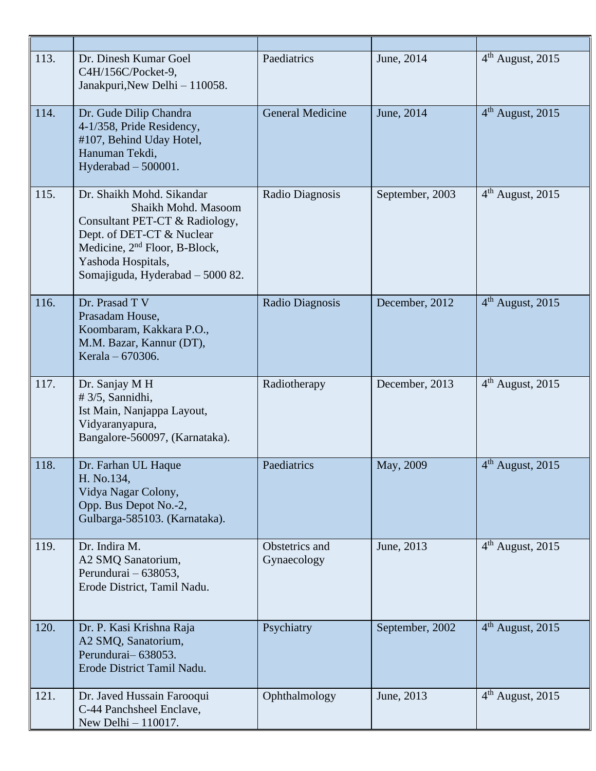| 113. | Dr. Dinesh Kumar Goel<br>C4H/156C/Pocket-9,<br>Janakpuri, New Delhi - 110058.                                                                                                                                          | Paediatrics                   | June, 2014      | $4th$ August, 2015           |
|------|------------------------------------------------------------------------------------------------------------------------------------------------------------------------------------------------------------------------|-------------------------------|-----------------|------------------------------|
| 114. | Dr. Gude Dilip Chandra<br>4-1/358, Pride Residency,<br>#107, Behind Uday Hotel,<br>Hanuman Tekdi,<br>Hyderabad $-500001$ .                                                                                             | <b>General Medicine</b>       | June, 2014      | $4th$ August, 2015           |
| 115. | Dr. Shaikh Mohd. Sikandar<br>Shaikh Mohd. Masoom<br>Consultant PET-CT & Radiology,<br>Dept. of DET-CT & Nuclear<br>Medicine, 2 <sup>nd</sup> Floor, B-Block,<br>Yashoda Hospitals,<br>Somajiguda, Hyderabad - 5000 82. | Radio Diagnosis               | September, 2003 | $4th$ August, 2015           |
| 116. | Dr. Prasad T V<br>Prasadam House,<br>Koombaram, Kakkara P.O.,<br>M.M. Bazar, Kannur (DT),<br>Kerala – 670306.                                                                                                          | Radio Diagnosis               | December, 2012  | $4th$ August, 2015           |
| 117. | Dr. Sanjay M H<br>#3/5, Sannidhi,<br>Ist Main, Nanjappa Layout,<br>Vidyaranyapura,<br>Bangalore-560097, (Karnataka).                                                                                                   | Radiotherapy                  | December, 2013  | 4 <sup>th</sup> August, 2015 |
| 118. | Dr. Farhan UL Haque<br>H. No.134,<br>Vidya Nagar Colony,<br>Opp. Bus Depot No.-2,<br>Gulbarga-585103. (Karnataka).                                                                                                     | Paediatrics                   | May, 2009       | $4th$ August, 2015           |
| 119. | Dr. Indira M.<br>A2 SMQ Sanatorium,<br>Perundurai – 638053,<br>Erode District, Tamil Nadu.                                                                                                                             | Obstetrics and<br>Gynaecology | June, 2013      | $4th$ August, 2015           |
| 120. | Dr. P. Kasi Krishna Raja<br>A2 SMQ, Sanatorium,<br>Perundurai-638053.<br>Erode District Tamil Nadu.                                                                                                                    | Psychiatry                    | September, 2002 | $4th$ August, 2015           |
| 121. | Dr. Javed Hussain Farooqui<br>C-44 Panchsheel Enclave,<br>New Delhi - 110017.                                                                                                                                          | Ophthalmology                 | June, 2013      | $4th$ August, 2015           |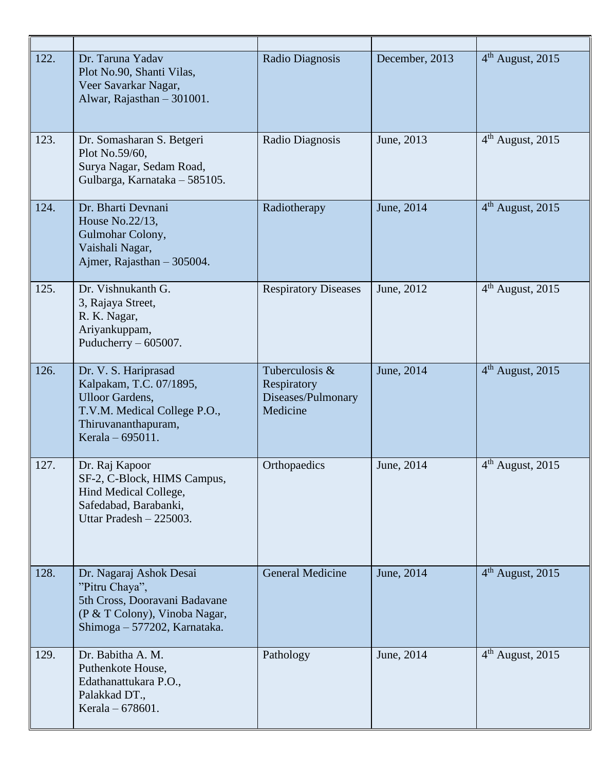| 122. | Dr. Taruna Yadav<br>Plot No.90, Shanti Vilas,<br>Veer Savarkar Nagar,<br>Alwar, Rajasthan - 301001.                                                  | Radio Diagnosis                                                 | December, 2013 | $4th$ August, 2015           |
|------|------------------------------------------------------------------------------------------------------------------------------------------------------|-----------------------------------------------------------------|----------------|------------------------------|
| 123. | Dr. Somasharan S. Betgeri<br>Plot No.59/60.<br>Surya Nagar, Sedam Road,<br>Gulbarga, Karnataka - 585105.                                             | Radio Diagnosis                                                 | June, 2013     | $4th$ August, 2015           |
| 124. | Dr. Bharti Devnani<br>House No.22/13,<br>Gulmohar Colony,<br>Vaishali Nagar,<br>Ajmer, Rajasthan - 305004.                                           | Radiotherapy                                                    | June, 2014     | $4th$ August, 2015           |
| 125. | Dr. Vishnukanth G.<br>3, Rajaya Street,<br>R. K. Nagar,<br>Ariyankuppam,<br>Puducherry $-605007$ .                                                   | <b>Respiratory Diseases</b>                                     | June, 2012     | 4 <sup>th</sup> August, 2015 |
| 126. | Dr. V. S. Hariprasad<br>Kalpakam, T.C. 07/1895,<br><b>Ulloor Gardens,</b><br>T.V.M. Medical College P.O.,<br>Thiruvananthapuram,<br>Kerala – 695011. | Tuberculosis &<br>Respiratory<br>Diseases/Pulmonary<br>Medicine | June, 2014     | 4 <sup>th</sup> August, 2015 |
| 127. | Dr. Raj Kapoor<br>SF-2, C-Block, HIMS Campus,<br>Hind Medical College,<br>Safedabad, Barabanki,<br>Uttar Pradesh $-225003$ .                         | Orthopaedics                                                    | June, 2014     | $4th$ August, 2015           |
| 128. | Dr. Nagaraj Ashok Desai<br>"Pitru Chaya",<br>5th Cross, Dooravani Badavane<br>(P & T Colony), Vinoba Nagar,<br>Shimoga - 577202, Karnataka.          | <b>General Medicine</b>                                         | June, 2014     | $4th$ August, 2015           |
| 129. | Dr. Babitha A. M.<br>Puthenkote House,<br>Edathanattukara P.O.,<br>Palakkad DT.,<br>Kerala – 678601.                                                 | Pathology                                                       | June, 2014     | $4th$ August, 2015           |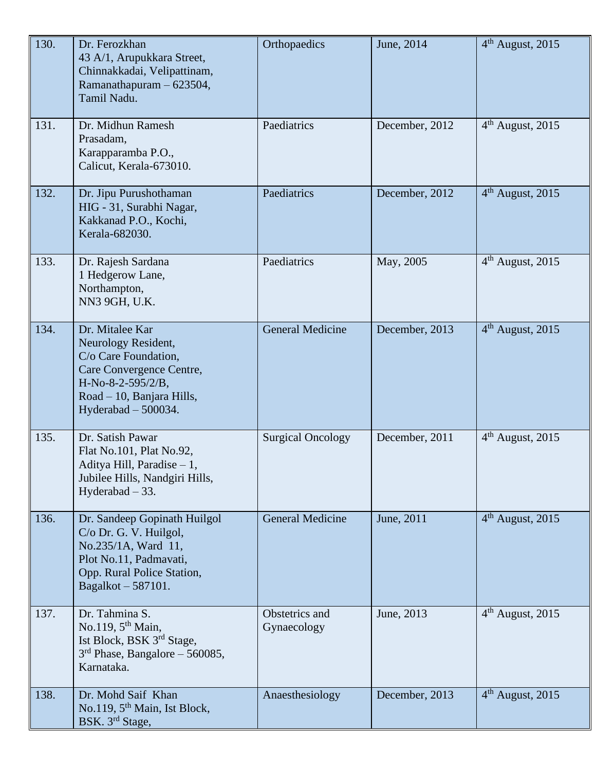| 130. | Dr. Ferozkhan<br>43 A/1, Arupukkara Street,<br>Chinnakkadai, Velipattinam,<br>Ramanathapuram - 623504,<br>Tamil Nadu.                                                    | Orthopaedics                  | June, 2014     | 4 <sup>th</sup> August, 2015 |
|------|--------------------------------------------------------------------------------------------------------------------------------------------------------------------------|-------------------------------|----------------|------------------------------|
| 131. | Dr. Midhun Ramesh<br>Prasadam,<br>Karapparamba P.O.,<br>Calicut, Kerala-673010.                                                                                          | Paediatrics                   | December, 2012 | $4th$ August, 2015           |
| 132. | Dr. Jipu Purushothaman<br>HIG - 31, Surabhi Nagar,<br>Kakkanad P.O., Kochi,<br>Kerala-682030.                                                                            | Paediatrics                   | December, 2012 | 4 <sup>th</sup> August, 2015 |
| 133. | Dr. Rajesh Sardana<br>1 Hedgerow Lane,<br>Northampton,<br>NN3 9GH, U.K.                                                                                                  | Paediatrics                   | May, 2005      | $4th$ August, 2015           |
| 134. | Dr. Mitalee Kar<br>Neurology Resident,<br>C/o Care Foundation,<br>Care Convergence Centre,<br>$H-No-8-2-595/2/B$ ,<br>Road - 10, Banjara Hills,<br>Hyderabad $-500034$ . | <b>General Medicine</b>       | December, 2013 | $4th$ August, 2015           |
| 135. | Dr. Satish Pawar<br>Flat No.101, Plat No.92,<br>Aditya Hill, Paradise $-1$ ,<br>Jubilee Hills, Nandgiri Hills,<br>Hyderabad $-33$ .                                      | <b>Surgical Oncology</b>      | December, 2011 | $4th$ August, 2015           |
| 136. | Dr. Sandeep Gopinath Huilgol<br>C/o Dr. G. V. Huilgol,<br>No.235/1A, Ward 11,<br>Plot No.11, Padmavati,<br>Opp. Rural Police Station,<br>Bagalkot - 587101.              | <b>General Medicine</b>       | June, 2011     | $4th$ August, 2015           |
| 137. | Dr. Tahmina S.<br>No.119, 5 <sup>th</sup> Main,<br>Ist Block, BSK 3rd Stage,<br>$3rd$ Phase, Bangalore – 560085,<br>Karnataka.                                           | Obstetrics and<br>Gynaecology | June, 2013     | $4th$ August, 2015           |
| 138. | Dr. Mohd Saif Khan<br>No.119, $5th$ Main, Ist Block,<br>BSK. 3rd Stage,                                                                                                  | Anaesthesiology               | December, 2013 | 4 <sup>th</sup> August, 2015 |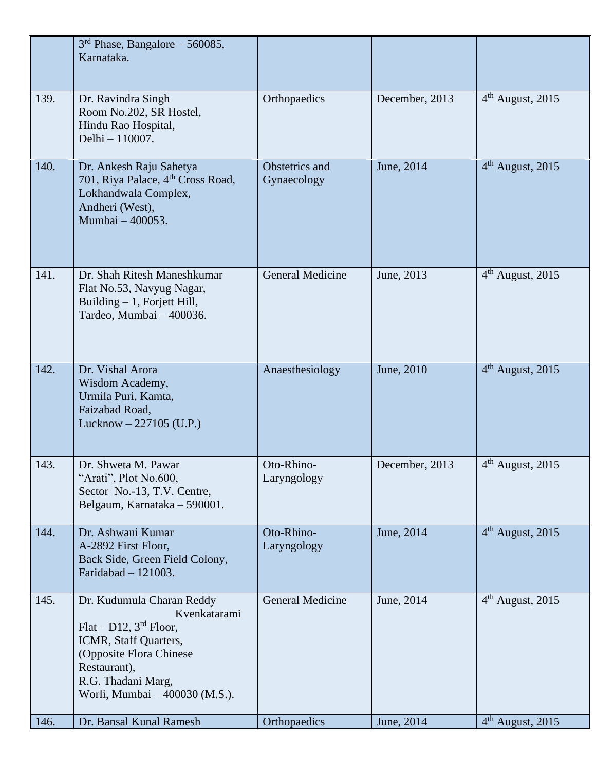|      | $3rd$ Phase, Bangalore – 560085,<br>Karnataka.                                                                                                                                                       |                               |                |                              |
|------|------------------------------------------------------------------------------------------------------------------------------------------------------------------------------------------------------|-------------------------------|----------------|------------------------------|
| 139. | Dr. Ravindra Singh<br>Room No.202, SR Hostel,<br>Hindu Rao Hospital,<br>Delhi - 110007.                                                                                                              | Orthopaedics                  | December, 2013 | $4th$ August, 2015           |
| 140. | Dr. Ankesh Raju Sahetya<br>701, Riya Palace, 4 <sup>th</sup> Cross Road,<br>Lokhandwala Complex,<br>Andheri (West),<br>Mumbai - 400053.                                                              | Obstetrics and<br>Gynaecology | June, 2014     | $4th$ August, 2015           |
| 141. | Dr. Shah Ritesh Maneshkumar<br>Flat No.53, Navyug Nagar,<br>Building $-1$ , Forjett Hill,<br>Tardeo, Mumbai - 400036.                                                                                | <b>General Medicine</b>       | June, 2013     | $4th$ August, 2015           |
| 142. | Dr. Vishal Arora<br>Wisdom Academy,<br>Urmila Puri, Kamta,<br>Faizabad Road,<br>Lucknow $-227105$ (U.P.)                                                                                             | Anaesthesiology               | June, 2010     | 4 <sup>th</sup> August, 2015 |
| 143. | Dr. Shweta M. Pawar<br>"Arati", Plot No.600,<br>Sector No.-13, T.V. Centre,<br>Belgaum, Karnataka - 590001.                                                                                          | Oto-Rhino-<br>Laryngology     | December, 2013 | $4th$ August, 2015           |
| 144. | Dr. Ashwani Kumar<br>A-2892 First Floor,<br>Back Side, Green Field Colony,<br>Faridabad $-121003$ .                                                                                                  | Oto-Rhino-<br>Laryngology     | June, 2014     | $4th$ August, 2015           |
| 145. | Dr. Kudumula Charan Reddy<br>Kvenkatarami<br>$Flat-D12$ , $3rd Floor$ ,<br>ICMR, Staff Quarters,<br>(Opposite Flora Chinese)<br>Restaurant),<br>R.G. Thadani Marg,<br>Worli, Mumbai - 400030 (M.S.). | <b>General Medicine</b>       | June, 2014     | 4 <sup>th</sup> August, 2015 |
| 146. | Dr. Bansal Kunal Ramesh                                                                                                                                                                              | Orthopaedics                  | June, 2014     | $4th$ August, 2015           |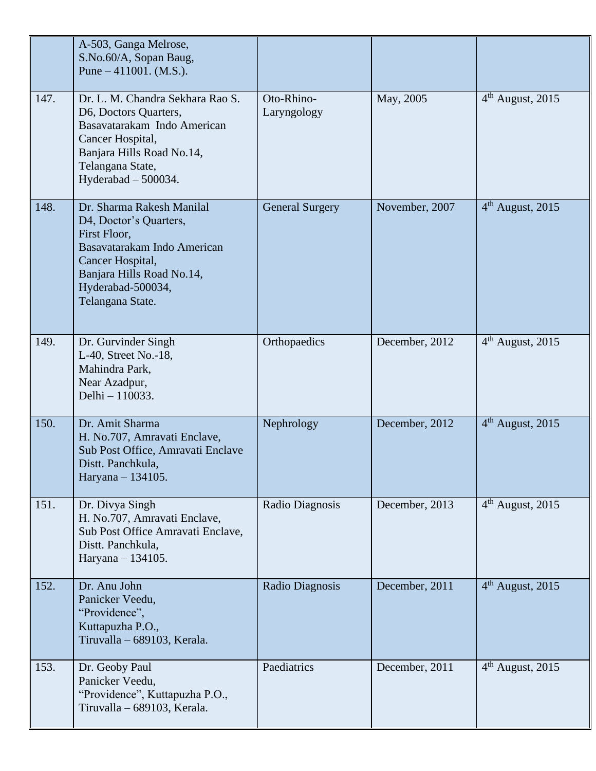|      | A-503, Ganga Melrose,<br>S.No.60/A, Sopan Baug,<br>Pune $-411001$ . (M.S.).                                                                                                                  |                           |                |                    |
|------|----------------------------------------------------------------------------------------------------------------------------------------------------------------------------------------------|---------------------------|----------------|--------------------|
| 147. | Dr. L. M. Chandra Sekhara Rao S.<br>D6, Doctors Quarters,<br>Basavatarakam Indo American<br>Cancer Hospital,<br>Banjara Hills Road No.14,<br>Telangana State,<br>Hyderabad - 500034.         | Oto-Rhino-<br>Laryngology | May, 2005      | $4th$ August, 2015 |
| 148. | Dr. Sharma Rakesh Manilal<br>D4, Doctor's Quarters,<br>First Floor,<br>Basavatarakam Indo American<br>Cancer Hospital,<br>Banjara Hills Road No.14,<br>Hyderabad-500034,<br>Telangana State. | <b>General Surgery</b>    | November, 2007 | $4th$ August, 2015 |
| 149. | Dr. Gurvinder Singh<br>L-40, Street No.-18,<br>Mahindra Park,<br>Near Azadpur,<br>Delhi - 110033.                                                                                            | Orthopaedics              | December, 2012 | $4th$ August, 2015 |
| 150. | Dr. Amit Sharma<br>H. No.707, Amravati Enclave,<br>Sub Post Office, Amravati Enclave<br>Distt. Panchkula,<br>Haryana - 134105.                                                               | Nephrology                | December, 2012 | $4th$ August, 2015 |
| 151. | Dr. Divya Singh<br>H. No.707, Amravati Enclave,<br>Sub Post Office Amravati Enclave,<br>Distt. Panchkula,<br>Haryana - 134105.                                                               | Radio Diagnosis           | December, 2013 | $4th$ August, 2015 |
| 152. | Dr. Anu John<br>Panicker Veedu,<br>"Providence",<br>Kuttapuzha P.O.,<br>Tiruvalla - 689103, Kerala.                                                                                          | Radio Diagnosis           | December, 2011 | $4th$ August, 2015 |
| 153. | Dr. Geoby Paul<br>Panicker Veedu,<br>"Providence", Kuttapuzha P.O.,<br>Tiruvalla - 689103, Kerala.                                                                                           | Paediatrics               | December, 2011 | $4th$ August, 2015 |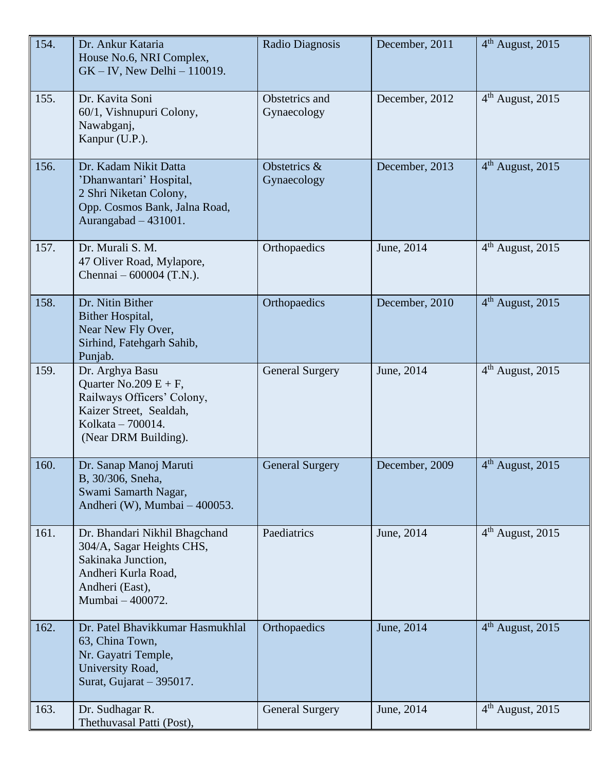| 154. | Dr. Ankur Kataria<br>House No.6, NRI Complex,<br>$GK - IV$ , New Delhi - 110019.                                                                  | Radio Diagnosis               | December, 2011 | 4 <sup>th</sup> August, 2015 |
|------|---------------------------------------------------------------------------------------------------------------------------------------------------|-------------------------------|----------------|------------------------------|
| 155. | Dr. Kavita Soni<br>60/1, Vishnupuri Colony,<br>Nawabganj,<br>Kanpur (U.P.).                                                                       | Obstetrics and<br>Gynaecology | December, 2012 | $4th$ August, 2015           |
| 156. | Dr. Kadam Nikit Datta<br>'Dhanwantari' Hospital,<br>2 Shri Niketan Colony,<br>Opp. Cosmos Bank, Jalna Road,<br>Aurangabad - 431001.               | Obstetrics &<br>Gynaecology   | December, 2013 | $4th$ August, 2015           |
| 157. | Dr. Murali S. M.<br>47 Oliver Road, Mylapore,<br>Chennai $-600004$ (T.N.).                                                                        | Orthopaedics                  | June, 2014     | $4th$ August, 2015           |
| 158. | Dr. Nitin Bither<br>Bither Hospital,<br>Near New Fly Over,<br>Sirhind, Fatehgarh Sahib,<br>Punjab.                                                | Orthopaedics                  | December, 2010 | $4th$ August, 2015           |
| 159. | Dr. Arghya Basu<br>Quarter No.209 $E + F$ ,<br>Railways Officers' Colony,<br>Kaizer Street, Sealdah,<br>Kolkata - 700014.<br>(Near DRM Building). | <b>General Surgery</b>        | June, 2014     | $4th$ August, 2015           |
| 160. | Dr. Sanap Manoj Maruti<br>B, 30/306, Sneha,<br>Swami Samarth Nagar,<br>Andheri (W), Mumbai - 400053.                                              | <b>General Surgery</b>        | December, 2009 | $4th$ August, 2015           |
| 161. | Dr. Bhandari Nikhil Bhagchand<br>304/A, Sagar Heights CHS,<br>Sakinaka Junction,<br>Andheri Kurla Road,<br>Andheri (East),<br>Mumbai - 400072.    | Paediatrics                   | June, 2014     | $4th$ August, 2015           |
| 162. | Dr. Patel Bhavikkumar Hasmukhlal<br>63, China Town,<br>Nr. Gayatri Temple,<br>University Road,<br>Surat, Gujarat - 395017.                        | Orthopaedics                  | June, 2014     | $4th$ August, 2015           |
| 163. | Dr. Sudhagar R.<br>Thethuvasal Patti (Post),                                                                                                      | <b>General Surgery</b>        | June, 2014     | $4th$ August, 2015           |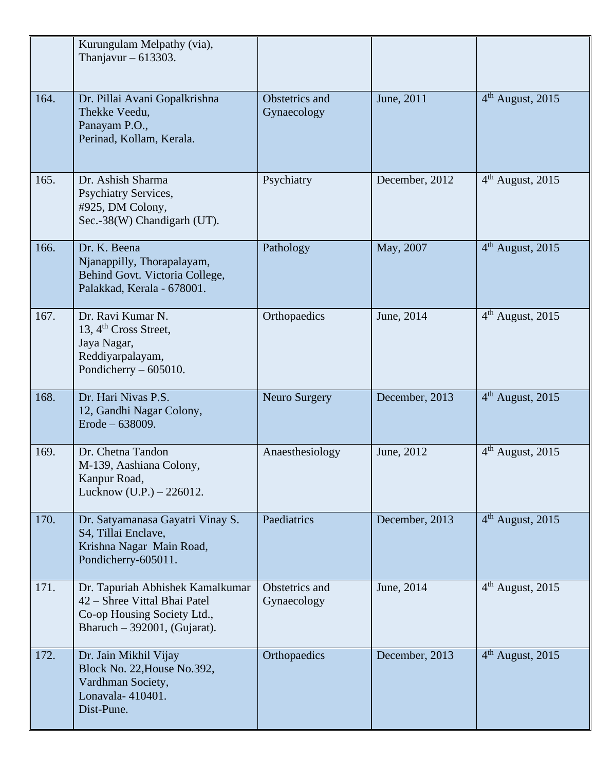|      | Kurungulam Melpathy (via),<br>Thanjavur $-613303$ .                                                                               |                               |                |                    |
|------|-----------------------------------------------------------------------------------------------------------------------------------|-------------------------------|----------------|--------------------|
| 164. | Dr. Pillai Avani Gopalkrishna<br>Thekke Veedu,<br>Panayam P.O.,<br>Perinad, Kollam, Kerala.                                       | Obstetrics and<br>Gynaecology | June, 2011     | $4th$ August, 2015 |
| 165. | Dr. Ashish Sharma<br><b>Psychiatry Services,</b><br>#925, DM Colony,<br>Sec.-38(W) Chandigarh (UT).                               | Psychiatry                    | December, 2012 | $4th$ August, 2015 |
| 166. | Dr. K. Beena<br>Njanappilly, Thorapalayam,<br>Behind Govt. Victoria College,<br>Palakkad, Kerala - 678001.                        | Pathology                     | May, 2007      | $4th$ August, 2015 |
| 167. | Dr. Ravi Kumar N.<br>13, $4th Cross Street$ ,<br>Jaya Nagar,<br>Reddiyarpalayam,<br>Pondicherry $-605010$ .                       | Orthopaedics                  | June, 2014     | $4th$ August, 2015 |
| 168. | Dr. Hari Nivas P.S.<br>12, Gandhi Nagar Colony,<br>Erode - 638009.                                                                | <b>Neuro Surgery</b>          | December, 2013 | $4th$ August, 2015 |
| 169. | Dr. Chetna Tandon<br>M-139, Aashiana Colony,<br>Kanpur Road,<br>Lucknow (U.P.) - 226012.                                          | Anaesthesiology               | June, 2012     | $4th$ August, 2015 |
| 170. | Dr. Satyamanasa Gayatri Vinay S.<br>S4, Tillai Enclave,<br>Krishna Nagar Main Road,<br>Pondicherry-605011.                        | Paediatrics                   | December, 2013 | $4th$ August, 2015 |
| 171. | Dr. Tapuriah Abhishek Kamalkumar<br>42 – Shree Vittal Bhai Patel<br>Co-op Housing Society Ltd.,<br>Bharuch $-392001$ , (Gujarat). | Obstetrics and<br>Gynaecology | June, 2014     | $4th$ August, 2015 |
| 172. | Dr. Jain Mikhil Vijay<br>Block No. 22, House No.392,<br>Vardhman Society,<br>Lonavala-410401.<br>Dist-Pune.                       | Orthopaedics                  | December, 2013 | $4th$ August, 2015 |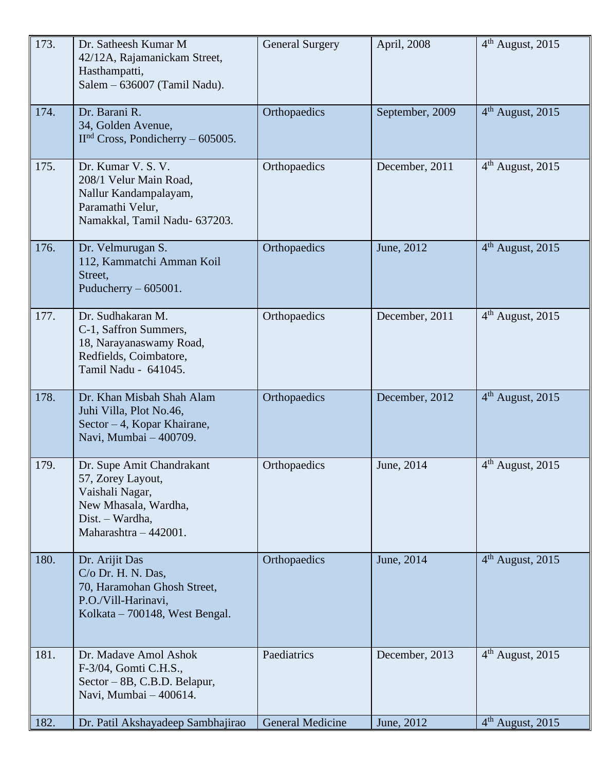| 173. | Dr. Satheesh Kumar M<br>42/12A, Rajamanickam Street,<br>Hasthampatti,<br>Salem - 636007 (Tamil Nadu).                                 | <b>General Surgery</b> | April, 2008     | $4th$ August, 2015           |
|------|---------------------------------------------------------------------------------------------------------------------------------------|------------------------|-----------------|------------------------------|
| 174. | Dr. Barani R.<br>34, Golden Avenue,<br>$IInd Cross$ , Pondicherry – 605005.                                                           | Orthopaedics           | September, 2009 | $4th$ August, 2015           |
| 175. | Dr. Kumar V. S. V.<br>208/1 Velur Main Road,<br>Nallur Kandampalayam,<br>Paramathi Velur,<br>Namakkal, Tamil Nadu- 637203.            | Orthopaedics           | December, 2011  | $4th$ August, 2015           |
| 176. | Dr. Velmurugan S.<br>112, Kammatchi Amman Koil<br>Street,<br>Puducherry $-605001$ .                                                   | Orthopaedics           | June, 2012      | $4th$ August, 2015           |
| 177. | Dr. Sudhakaran M.<br>C-1, Saffron Summers,<br>18, Narayanaswamy Road,<br>Redfields, Coimbatore,<br>Tamil Nadu - 641045.               | Orthopaedics           | December, 2011  | $4th$ August, 2015           |
| 178. | Dr. Khan Misbah Shah Alam<br>Juhi Villa, Plot No.46,<br>Sector $-4$ , Kopar Khairane,<br>Navi, Mumbai - 400709.                       | Orthopaedics           | December, 2012  | $4th$ August, 2015           |
| 179. | Dr. Supe Amit Chandrakant<br>57, Zorey Layout,<br>Vaishali Nagar,<br>New Mhasala, Wardha,<br>Dist. – Wardha,<br>Maharashtra - 442001. | Orthopaedics           | June, 2014      | $4th$ August, 2015           |
| 180. | Dr. Arijit Das<br>C/o Dr. H. N. Das,<br>70, Haramohan Ghosh Street,<br>P.O./Vill-Harinavi,<br>Kolkata – 700148, West Bengal.          | Orthopaedics           | June, 2014      | $4th$ August, 2015           |
| 181. | Dr. Madave Amol Ashok<br>F-3/04, Gomti C.H.S.,<br>Sector – 8B, C.B.D. Belapur,<br>Navi, Mumbai - 400614.                              | Paediatrics            | December, 2013  | 4 <sup>th</sup> August, 2015 |
| 182. | Dr. Patil Akshayadeep Sambhajirao                                                                                                     | General Medicine       | June, 2012      | $4th$ August, 2015           |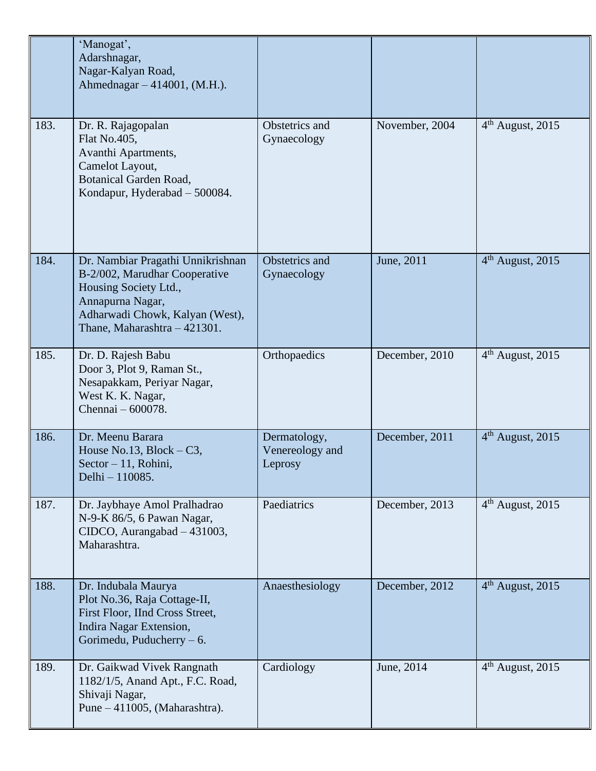|      | 'Manogat',<br>Adarshnagar,<br>Nagar-Kalyan Road,<br>Ahmednagar – 414001, (M.H.).                                                                                                   |                                            |                |                              |
|------|------------------------------------------------------------------------------------------------------------------------------------------------------------------------------------|--------------------------------------------|----------------|------------------------------|
| 183. | Dr. R. Rajagopalan<br>Flat No.405,<br>Avanthi Apartments,<br>Camelot Layout,<br><b>Botanical Garden Road,</b><br>Kondapur, Hyderabad - 500084.                                     | Obstetrics and<br>Gynaecology              | November, 2004 | $4th$ August, 2015           |
| 184. | Dr. Nambiar Pragathi Unnikrishnan<br>B-2/002, Marudhar Cooperative<br>Housing Society Ltd.,<br>Annapurna Nagar,<br>Adharwadi Chowk, Kalyan (West),<br>Thane, Maharashtra - 421301. | Obstetrics and<br>Gynaecology              | June, 2011     | $4th$ August, 2015           |
| 185. | Dr. D. Rajesh Babu<br>Door 3, Plot 9, Raman St.,<br>Nesapakkam, Periyar Nagar,<br>West K. K. Nagar,<br>Chennai - 600078.                                                           | Orthopaedics                               | December, 2010 | $4th$ August, 2015           |
| 186. | Dr. Meenu Barara<br>House No.13, Block $-C3$ ,<br>Sector $-11$ , Rohini,<br>Delhi - 110085.                                                                                        | Dermatology,<br>Venereology and<br>Leprosy | December, 2011 | $4th$ August, 2015           |
| 187. | Dr. Jaybhaye Amol Pralhadrao<br>N-9-K 86/5, 6 Pawan Nagar,<br>CIDCO, Aurangabad - 431003,<br>Maharashtra.                                                                          | Paediatrics                                | December, 2013 | $4th$ August, 2015           |
| 188. | Dr. Indubala Maurya<br>Plot No.36, Raja Cottage-II,<br>First Floor, IInd Cross Street,<br>Indira Nagar Extension,<br>Gorimedu, Puducherry $-6$ .                                   | Anaesthesiology                            | December, 2012 | 4 <sup>th</sup> August, 2015 |
| 189. | Dr. Gaikwad Vivek Rangnath<br>1182/1/5, Anand Apt., F.C. Road,<br>Shivaji Nagar,<br>Pune $-411005$ , (Maharashtra).                                                                | Cardiology                                 | June, 2014     | $4th$ August, 2015           |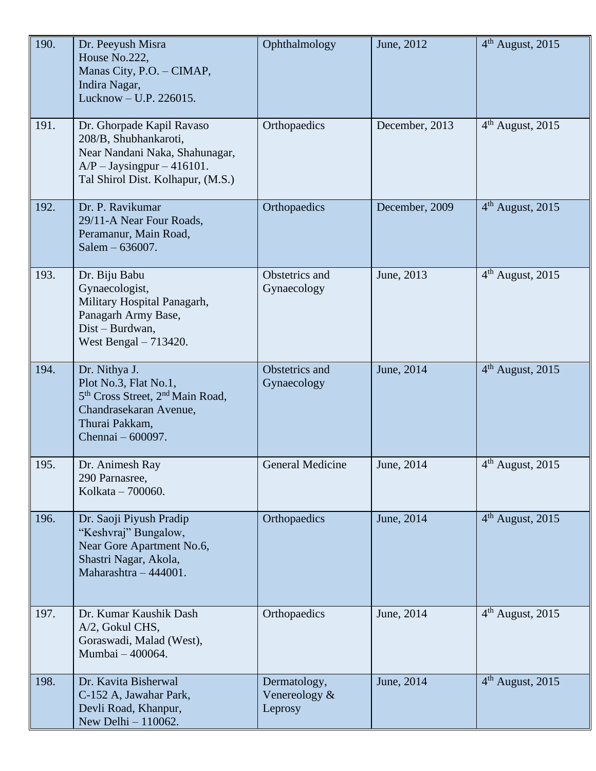| 190. | Dr. Peeyush Misra<br>House No.222,<br>Manas City, P.O. - CIMAP,<br>Indira Nagar,<br>Lucknow - U.P. 226015.                                                          | Ophthalmology                               | June, 2012     | 4 <sup>th</sup> August, 2015 |
|------|---------------------------------------------------------------------------------------------------------------------------------------------------------------------|---------------------------------------------|----------------|------------------------------|
| 191. | Dr. Ghorpade Kapil Ravaso<br>208/B, Shubhankaroti,<br>Near Nandani Naka, Shahunagar,<br>$A/P - Jaysingpur - 416101.$<br>Tal Shirol Dist. Kolhapur, (M.S.)           | Orthopaedics                                | December, 2013 | $4th$ August, 2015           |
| 192. | Dr. P. Ravikumar<br>29/11-A Near Four Roads,<br>Peramanur, Main Road,<br>Salem - 636007.                                                                            | Orthopaedics                                | December, 2009 | $4th$ August, 2015           |
| 193. | Dr. Biju Babu<br>Gynaecologist,<br>Military Hospital Panagarh,<br>Panagarh Army Base,<br>Dist - Burdwan,<br>West Bengal $-713420$ .                                 | Obstetrics and<br>Gynaecology               | June, 2013     | 4 <sup>th</sup> August, 2015 |
| 194. | Dr. Nithya J.<br>Plot No.3, Flat No.1,<br>5 <sup>th</sup> Cross Street, 2 <sup>nd</sup> Main Road,<br>Chandrasekaran Avenue,<br>Thurai Pakkam,<br>Chennai – 600097. | Obstetrics and<br>Gynaecology               | June, 2014     | 4 <sup>th</sup> August, 2015 |
| 195. | Dr. Animesh Ray<br>290 Parnasree,<br>Kolkata - 700060.                                                                                                              | General Medicine                            | June, 2014     | $4th$ August, 2015           |
| 196. | Dr. Saoji Piyush Pradip<br>"Keshvraj" Bungalow,<br>Near Gore Apartment No.6,<br>Shastri Nagar, Akola,<br>Maharashtra - 444001.                                      | Orthopaedics                                | June, 2014     | $4th$ August, 2015           |
| 197. | Dr. Kumar Kaushik Dash<br>A/2, Gokul CHS,<br>Goraswadi, Malad (West),<br>Mumbai - 400064.                                                                           | Orthopaedics                                | June, 2014     | $4th$ August, 2015           |
| 198. | Dr. Kavita Bisherwal<br>C-152 A, Jawahar Park,<br>Devli Road, Khanpur,<br>New Delhi - 110062.                                                                       | Dermatology,<br>Venereology $\&$<br>Leprosy | June, 2014     | $4th$ August, 2015           |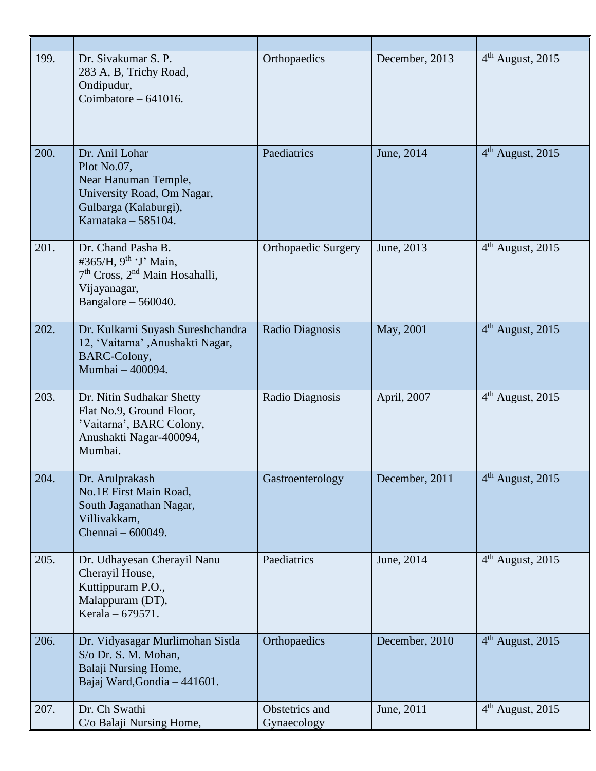| 199. | Dr. Sivakumar S. P.<br>283 A, B, Trichy Road,<br>Ondipudur,<br>Coimbatore $-641016$ .                                                               | Orthopaedics                  | December, 2013 | $4th$ August, 2015 |
|------|-----------------------------------------------------------------------------------------------------------------------------------------------------|-------------------------------|----------------|--------------------|
| 200. | Dr. Anil Lohar<br>Plot No.07,<br>Near Hanuman Temple,<br>University Road, Om Nagar,<br>Gulbarga (Kalaburgi),<br>Karnataka - 585104.                 | Paediatrics                   | June, 2014     | $4th$ August, 2015 |
| 201. | Dr. Chand Pasha B.<br>#365/H, $9^{th}$ 'J' Main,<br>7 <sup>th</sup> Cross, 2 <sup>nd</sup> Main Hosahalli,<br>Vijayanagar,<br>Bangalore $-560040$ . | <b>Orthopaedic Surgery</b>    | June, 2013     | $4th$ August, 2015 |
| 202. | Dr. Kulkarni Suyash Sureshchandra<br>12, 'Vaitarna' ,Anushakti Nagar,<br>BARC-Colony,<br>Mumbai - 400094.                                           | Radio Diagnosis               | May, 2001      | $4th$ August, 2015 |
| 203. | Dr. Nitin Sudhakar Shetty<br>Flat No.9, Ground Floor,<br>'Vaitarna', BARC Colony,<br>Anushakti Nagar-400094,<br>Mumbai.                             | Radio Diagnosis               | April, 2007    | $4th$ August, 2015 |
| 204. | Dr. Arulprakash<br>No.1E First Main Road,<br>South Jaganathan Nagar,<br>Villivakkam,<br>Chennai - 600049.                                           | Gastroenterology              | December, 2011 | $4th$ August, 2015 |
| 205. | Dr. Udhayesan Cherayil Nanu<br>Cherayil House,<br>Kuttippuram P.O.,<br>Malappuram (DT),<br>Kerala - 679571.                                         | Paediatrics                   | June, 2014     | $4th$ August, 2015 |
| 206. | Dr. Vidyasagar Murlimohan Sistla<br>S/o Dr. S. M. Mohan,<br>Balaji Nursing Home,<br>Bajaj Ward, Gondia - 441601.                                    | Orthopaedics                  | December, 2010 | $4th$ August, 2015 |
| 207. | Dr. Ch Swathi<br>C/o Balaji Nursing Home,                                                                                                           | Obstetrics and<br>Gynaecology | June, 2011     | $4th$ August, 2015 |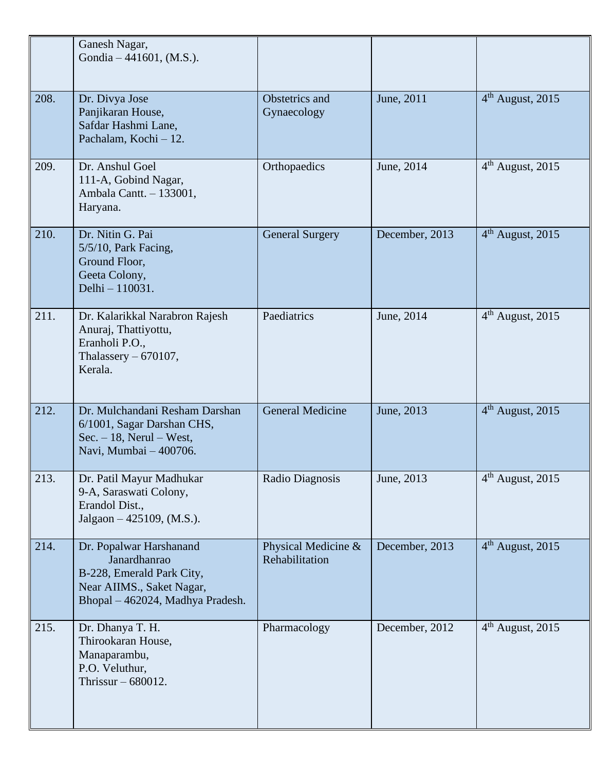|      | Ganesh Nagar,<br>Gondia $-441601$ , (M.S.).                                                                                           |                                       |                |                              |
|------|---------------------------------------------------------------------------------------------------------------------------------------|---------------------------------------|----------------|------------------------------|
| 208. | Dr. Divya Jose<br>Panjikaran House,<br>Safdar Hashmi Lane,<br>Pachalam, Kochi - 12.                                                   | Obstetrics and<br>Gynaecology         | June, 2011     | 4 <sup>th</sup> August, 2015 |
| 209. | Dr. Anshul Goel<br>111-A, Gobind Nagar,<br>Ambala Cantt. - 133001,<br>Haryana.                                                        | Orthopaedics                          | June, 2014     | $4th$ August, 2015           |
| 210. | Dr. Nitin G. Pai<br>$5/5/10$ , Park Facing,<br>Ground Floor,<br>Geeta Colony,<br>Delhi - 110031.                                      | <b>General Surgery</b>                | December, 2013 | $4th$ August, 2015           |
| 211. | Dr. Kalarikkal Narabron Rajesh<br>Anuraj, Thattiyottu,<br>Eranholi P.O.,<br>Thalassery $-670107$ ,<br>Kerala.                         | Paediatrics                           | June, 2014     | $4th$ August, 2015           |
| 212. | Dr. Mulchandani Resham Darshan<br>6/1001, Sagar Darshan CHS,<br>$Sec. - 18$ , Nerul – West,<br>Navi, Mumbai - 400706.                 | <b>General Medicine</b>               | June, 2013     | $4th$ August, 2015           |
| 213. | Dr. Patil Mayur Madhukar<br>9-A, Saraswati Colony,<br>Erandol Dist.,<br>Jalgaon - 425109, (M.S.).                                     | Radio Diagnosis                       | June, 2013     | $4th$ August, 2015           |
| 214. | Dr. Popalwar Harshanand<br>Janardhanrao<br>B-228, Emerald Park City,<br>Near AIIMS., Saket Nagar,<br>Bhopal - 462024, Madhya Pradesh. | Physical Medicine &<br>Rehabilitation | December, 2013 | $4th$ August, 2015           |
| 215. | Dr. Dhanya T. H.<br>Thirookaran House,<br>Manaparambu,<br>P.O. Veluthur,<br>Thrissur $-680012$ .                                      | Pharmacology                          | December, 2012 | $4th$ August, 2015           |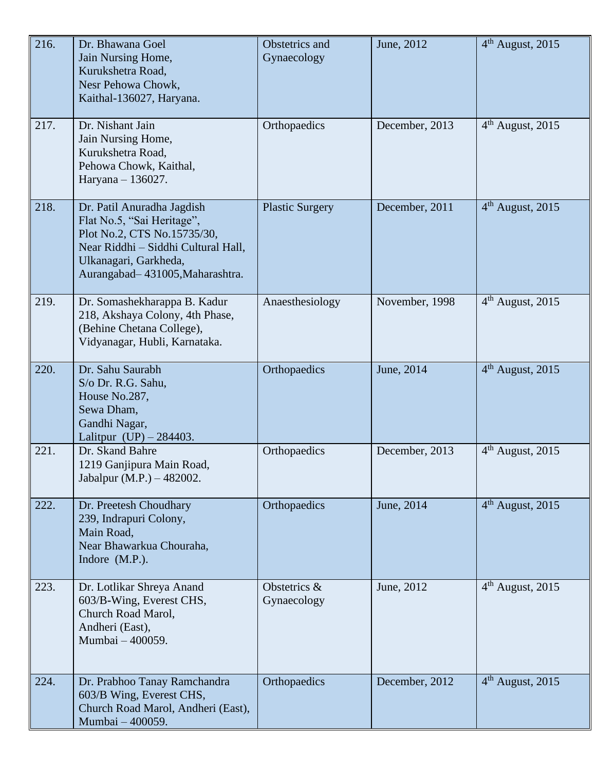| 216. | Dr. Bhawana Goel<br>Jain Nursing Home,<br>Kurukshetra Road,<br>Nesr Pehowa Chowk,<br>Kaithal-136027, Haryana.                                                                              | Obstetrics and<br>Gynaecology | June, 2012     | 4 <sup>th</sup> August, 2015 |
|------|--------------------------------------------------------------------------------------------------------------------------------------------------------------------------------------------|-------------------------------|----------------|------------------------------|
| 217. | Dr. Nishant Jain<br>Jain Nursing Home,<br>Kurukshetra Road,<br>Pehowa Chowk, Kaithal,<br>Haryana - 136027.                                                                                 | Orthopaedics                  | December, 2013 | $4th$ August, 2015           |
| 218. | Dr. Patil Anuradha Jagdish<br>Flat No.5, "Sai Heritage",<br>Plot No.2, CTS No.15735/30,<br>Near Riddhi - Siddhi Cultural Hall,<br>Ulkanagari, Garkheda,<br>Aurangabad-431005, Maharashtra. | <b>Plastic Surgery</b>        | December, 2011 | $4th$ August, 2015           |
| 219. | Dr. Somashekharappa B. Kadur<br>218, Akshaya Colony, 4th Phase,<br>(Behine Chetana College),<br>Vidyanagar, Hubli, Karnataka.                                                              | Anaesthesiology               | November, 1998 | $4th$ August, 2015           |
| 220. | Dr. Sahu Saurabh<br>S/o Dr. R.G. Sahu,<br>House No.287,<br>Sewa Dham,<br>Gandhi Nagar,<br>Lalitpur $(UP) - 284403$ .                                                                       | Orthopaedics                  | June, 2014     | 4 <sup>th</sup> August, 2015 |
| 221. | Dr. Skand Bahre<br>1219 Ganjipura Main Road,<br>Jabalpur (M.P.) – 482002.                                                                                                                  | Orthopaedics                  | December, 2013 | $4th$ August, 2015           |
| 222. | Dr. Preetesh Choudhary<br>239, Indrapuri Colony,<br>Main Road,<br>Near Bhawarkua Chouraha,<br>Indore (M.P.).                                                                               | Orthopaedics                  | June, 2014     | 4 <sup>th</sup> August, 2015 |
| 223. | Dr. Lotlikar Shreya Anand<br>603/B-Wing, Everest CHS,<br>Church Road Marol,<br>Andheri (East),<br>Mumbai - 400059.                                                                         | Obstetrics &<br>Gynaecology   | June, 2012     | 4 <sup>th</sup> August, 2015 |
| 224. | Dr. Prabhoo Tanay Ramchandra<br>603/B Wing, Everest CHS,<br>Church Road Marol, Andheri (East),<br>Mumbai - 400059.                                                                         | Orthopaedics                  | December, 2012 | $4th$ August, 2015           |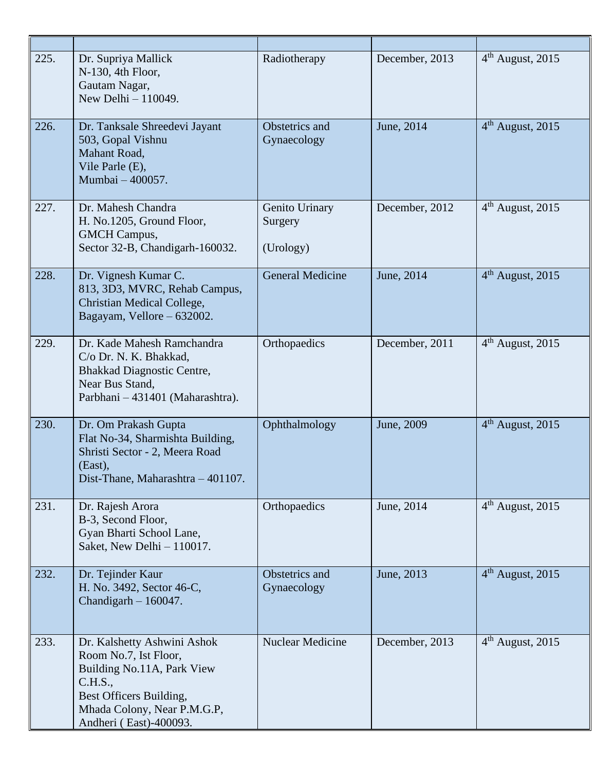| 225. | Dr. Supriya Mallick<br>$N-130$ , 4th Floor,<br>Gautam Nagar,<br>New Delhi $-110049$ .                                                                                             | Radiotherapy                           | December, 2013 | $4th$ August, 2015           |
|------|-----------------------------------------------------------------------------------------------------------------------------------------------------------------------------------|----------------------------------------|----------------|------------------------------|
| 226. | Dr. Tanksale Shreedevi Jayant<br>503, Gopal Vishnu<br>Mahant Road,<br>Vile Parle (E),<br>Mumbai - 400057.                                                                         | Obstetrics and<br>Gynaecology          | June, 2014     | $4th$ August, 2015           |
| 227. | Dr. Mahesh Chandra<br>H. No.1205, Ground Floor,<br><b>GMCH</b> Campus,<br>Sector 32-B, Chandigarh-160032.                                                                         | Genito Urinary<br>Surgery<br>(Urology) | December, 2012 | 4 <sup>th</sup> August, 2015 |
| 228. | Dr. Vignesh Kumar C.<br>813, 3D3, MVRC, Rehab Campus,<br>Christian Medical College,<br>Bagayam, Vellore – 632002.                                                                 | <b>General Medicine</b>                | June, 2014     | 4 <sup>th</sup> August, 2015 |
| 229. | Dr. Kade Mahesh Ramchandra<br>C/o Dr. N. K. Bhakkad,<br>Bhakkad Diagnostic Centre,<br>Near Bus Stand,<br>Parbhani - 431401 (Maharashtra).                                         | Orthopaedics                           | December, 2011 | $4th$ August, 2015           |
| 230. | Dr. Om Prakash Gupta<br>Flat No-34, Sharmishta Building,<br>Shristi Sector - 2, Meera Road<br>(East),<br>Dist-Thane, Maharashtra - 401107.                                        | Ophthalmology                          | June, 2009     | $4th$ August, 2015           |
| 231. | Dr. Rajesh Arora<br>B-3, Second Floor,<br>Gyan Bharti School Lane,<br>Saket, New Delhi - 110017.                                                                                  | Orthopaedics                           | June, 2014     | $4th$ August, 2015           |
| 232. | Dr. Tejinder Kaur<br>H. No. 3492, Sector 46-C,<br>Chandigarh $-160047$ .                                                                                                          | Obstetrics and<br>Gynaecology          | June, 2013     | $4th$ August, 2015           |
| 233. | Dr. Kalshetty Ashwini Ashok<br>Room No.7, Ist Floor,<br>Building No.11A, Park View<br>C.H.S.,<br>Best Officers Building,<br>Mhada Colony, Near P.M.G.P,<br>Andheri (East)-400093. | Nuclear Medicine                       | December, 2013 | $4th$ August, 2015           |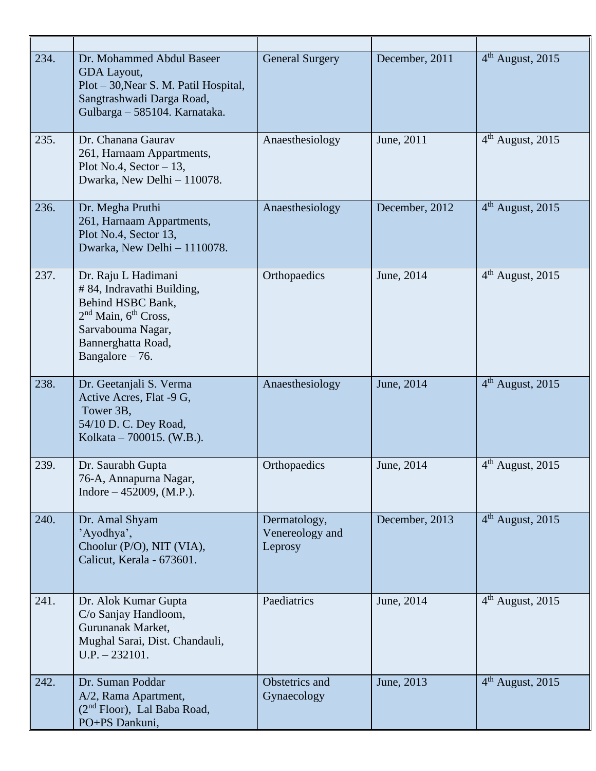| 234. | Dr. Mohammed Abdul Baseer<br>GDA Layout,<br>Plot – 30, Near S. M. Patil Hospital,<br>Sangtrashwadi Darga Road,<br>Gulbarga - 585104. Karnataka.                                        | <b>General Surgery</b>                     | December, 2011 | $4th$ August, 2015           |
|------|----------------------------------------------------------------------------------------------------------------------------------------------------------------------------------------|--------------------------------------------|----------------|------------------------------|
| 235. | Dr. Chanana Gaurav<br>261, Harnaam Appartments,<br>Plot No.4, Sector $-13$ ,<br>Dwarka, New Delhi - 110078.                                                                            | Anaesthesiology                            | June, 2011     | $4th$ August, 2015           |
| 236. | Dr. Megha Pruthi<br>261, Harnaam Appartments,<br>Plot No.4, Sector 13,<br>Dwarka, New Delhi - 1110078.                                                                                 | Anaesthesiology                            | December, 2012 | 4 <sup>th</sup> August, 2015 |
| 237. | Dr. Raju L Hadimani<br># 84, Indravathi Building,<br>Behind HSBC Bank,<br>2 <sup>nd</sup> Main, 6 <sup>th</sup> Cross,<br>Sarvabouma Nagar,<br>Bannerghatta Road,<br>Bangalore $-76$ . | Orthopaedics                               | June, 2014     | $4th$ August, 2015           |
| 238. | Dr. Geetanjali S. Verma<br>Active Acres, Flat -9 G,<br>Tower 3B,<br>54/10 D. C. Dey Road,<br>Kolkata – 700015. (W.B.).                                                                 | Anaesthesiology                            | June, 2014     | $4th$ August, 2015           |
| 239. | Dr. Saurabh Gupta<br>76-A, Annapurna Nagar,<br>Indore $-452009$ , (M.P.).                                                                                                              | Orthopaedics                               | June, 2014     | $4th$ August, 2015           |
| 240. | Dr. Amal Shyam<br>'Ayodhya',<br>Choolur (P/O), NIT (VIA),<br>Calicut, Kerala - 673601.                                                                                                 | Dermatology,<br>Venereology and<br>Leprosy | December, 2013 | $4th$ August, 2015           |
| 241. | Dr. Alok Kumar Gupta<br>C/o Sanjay Handloom,<br>Gurunanak Market,<br>Mughal Sarai, Dist. Chandauli,<br>$U.P. - 232101.$                                                                | Paediatrics                                | June, 2014     | $4th$ August, 2015           |
| 242. | Dr. Suman Poddar<br>A/2, Rama Apartment,<br>$(2nd Floor)$ , Lal Baba Road,<br>PO+PS Dankuni,                                                                                           | Obstetrics and<br>Gynaecology              | June, 2013     | $4th$ August, 2015           |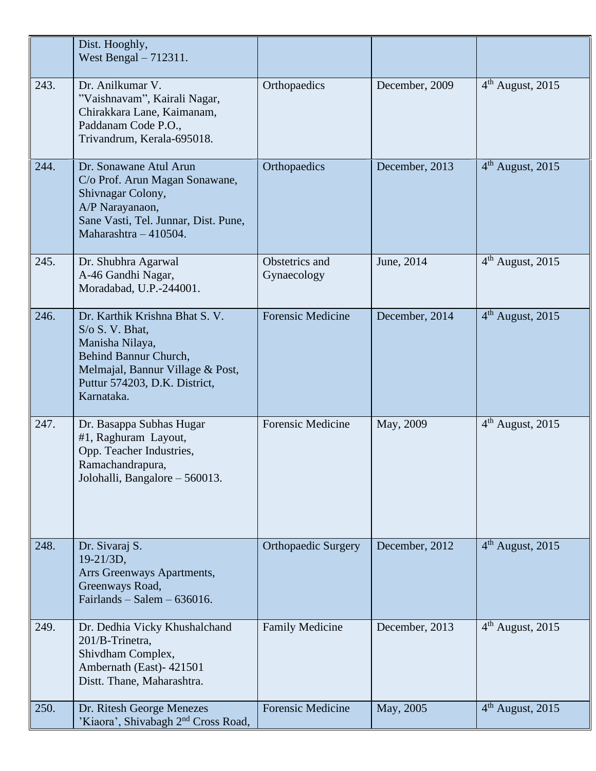|      | Dist. Hooghly,<br>West Bengal $-712311$ .                                                                                                                                                |                               |                |                              |
|------|------------------------------------------------------------------------------------------------------------------------------------------------------------------------------------------|-------------------------------|----------------|------------------------------|
| 243. | Dr. Anilkumar V.<br>"Vaishnavam", Kairali Nagar,<br>Chirakkara Lane, Kaimanam,<br>Paddanam Code P.O.,<br>Trivandrum, Kerala-695018.                                                      | Orthopaedics                  | December, 2009 | $4th$ August, 2015           |
| 244. | Dr. Sonawane Atul Arun<br>C/o Prof. Arun Magan Sonawane,<br>Shivnagar Colony,<br>A/P Narayanaon,<br>Sane Vasti, Tel. Junnar, Dist. Pune,<br>Maharashtra - 410504.                        | Orthopaedics                  | December, 2013 | $4th$ August, 2015           |
| 245. | Dr. Shubhra Agarwal<br>A-46 Gandhi Nagar,<br>Moradabad, U.P.-244001.                                                                                                                     | Obstetrics and<br>Gynaecology | June, 2014     | $4th$ August, 2015           |
| 246. | Dr. Karthik Krishna Bhat S. V.<br>$S/\sigma S$ . V. Bhat,<br>Manisha Nilaya,<br>Behind Bannur Church,<br>Melmajal, Bannur Village & Post,<br>Puttur 574203, D.K. District,<br>Karnataka. | <b>Forensic Medicine</b>      | December, 2014 | $4th$ August, 2015           |
| 247. | Dr. Basappa Subhas Hugar<br>#1, Raghuram Layout,<br>Opp. Teacher Industries,<br>Ramachandrapura,<br>Jolohalli, Bangalore – 560013.                                                       | <b>Forensic Medicine</b>      | May, 2009      | $4th$ August, 2015           |
| 248. | Dr. Sivaraj S.<br>19-21/3D,<br>Arrs Greenways Apartments,<br>Greenways Road,<br>Fairlands – Salem – $636016$ .                                                                           | <b>Orthopaedic Surgery</b>    | December, 2012 | $4th$ August, 2015           |
| 249. | Dr. Dedhia Vicky Khushalchand<br>201/B-Trinetra,<br>Shivdham Complex,<br>Ambernath (East) - 421501<br>Distt. Thane, Maharashtra.                                                         | <b>Family Medicine</b>        | December, 2013 | 4 <sup>th</sup> August, 2015 |
| 250. | Dr. Ritesh George Menezes<br>'Kiaora', Shivabagh 2 <sup>nd</sup> Cross Road,                                                                                                             | <b>Forensic Medicine</b>      | May, 2005      | $4th$ August, 2015           |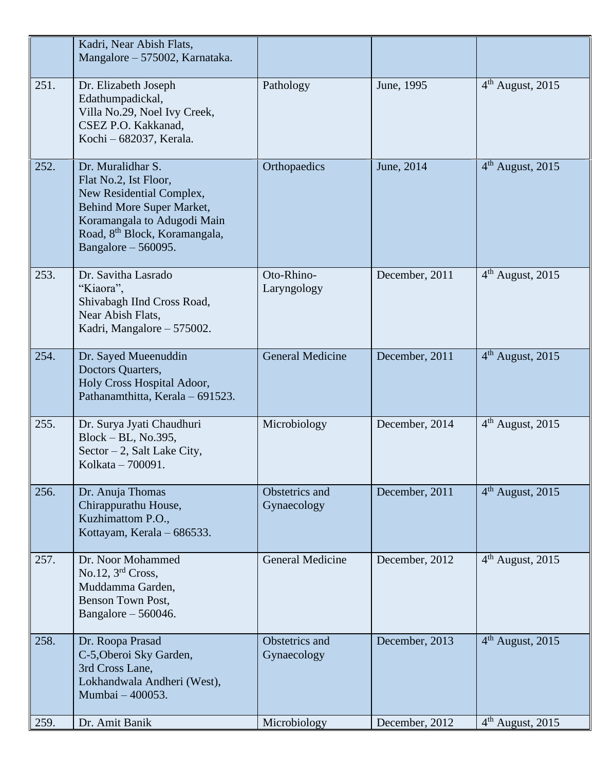|      | Kadri, Near Abish Flats,<br>Mangalore – 575002, Karnataka.                                                                                                                                               |                               |                |                              |
|------|----------------------------------------------------------------------------------------------------------------------------------------------------------------------------------------------------------|-------------------------------|----------------|------------------------------|
| 251. | Dr. Elizabeth Joseph<br>Edathumpadickal,<br>Villa No.29, Noel Ivy Creek,<br>CSEZ P.O. Kakkanad,<br>Kochi - 682037, Kerala.                                                                               | Pathology                     | June, 1995     | $4th$ August, 2015           |
| 252. | Dr. Muralidhar S.<br>Flat No.2, Ist Floor,<br>New Residential Complex,<br>Behind More Super Market,<br>Koramangala to Adugodi Main<br>Road, 8 <sup>th</sup> Block, Koramangala,<br>Bangalore $-560095$ . | Orthopaedics                  | June, 2014     | $4th$ August, 2015           |
| 253. | Dr. Savitha Lasrado<br>"Kiaora",<br>Shivabagh IInd Cross Road,<br>Near Abish Flats,<br>Kadri, Mangalore – 575002.                                                                                        | Oto-Rhino-<br>Laryngology     | December, 2011 | 4 <sup>th</sup> August, 2015 |
| 254. | Dr. Sayed Mueenuddin<br>Doctors Quarters,<br>Holy Cross Hospital Adoor,<br>Pathanamthitta, Kerala - 691523.                                                                                              | <b>General Medicine</b>       | December, 2011 | $4th$ August, 2015           |
| 255. | Dr. Surya Jyati Chaudhuri<br>$Block - BL$ , No.395,<br>Sector $-2$ , Salt Lake City,<br>Kolkata - 700091.                                                                                                | Microbiology                  | December, 2014 | $4th$ August, 2015           |
| 256. | Dr. Anuja Thomas<br>Chirappurathu House,<br>Kuzhimattom P.O.,<br>Kottayam, Kerala - 686533.                                                                                                              | Obstetrics and<br>Gynaecology | December, 2011 | $4th$ August, 2015           |
| 257. | Dr. Noor Mohammed<br>No.12, $3rd$ Cross,<br>Muddamma Garden,<br>Benson Town Post,<br>Bangalore $-560046$ .                                                                                               | <b>General Medicine</b>       | December, 2012 | $4th$ August, 2015           |
| 258. | Dr. Roopa Prasad<br>C-5, Oberoi Sky Garden,<br>3rd Cross Lane,<br>Lokhandwala Andheri (West),<br>Mumbai - 400053.                                                                                        | Obstetrics and<br>Gynaecology | December, 2013 | $4th$ August, 2015           |
| 259. | Dr. Amit Banik                                                                                                                                                                                           | Microbiology                  | December, 2012 | $4th$ August, 2015           |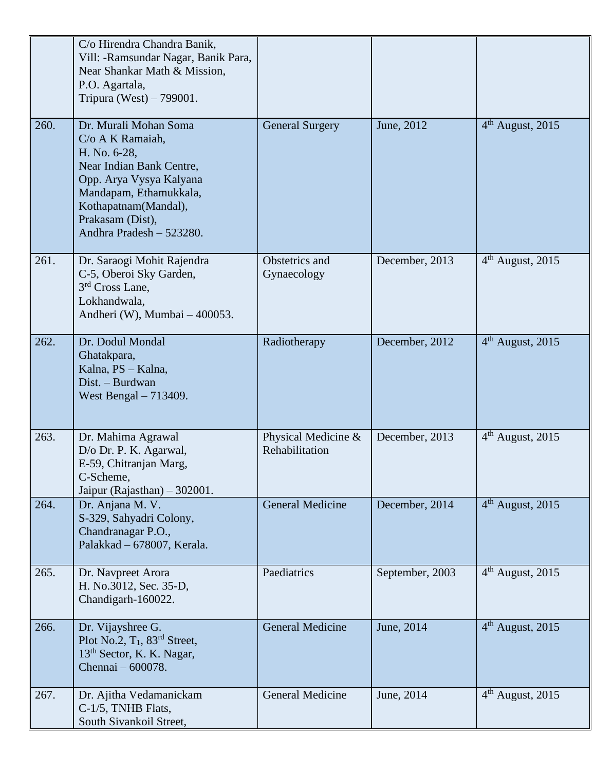|      | C/o Hirendra Chandra Banik,<br>Vill: -Ramsundar Nagar, Banik Para,<br>Near Shankar Math & Mission,<br>P.O. Agartala,<br>Tripura (West) $-799001$ .                                                                 |                                       |                 |                    |
|------|--------------------------------------------------------------------------------------------------------------------------------------------------------------------------------------------------------------------|---------------------------------------|-----------------|--------------------|
| 260. | Dr. Murali Mohan Soma<br>C/o A K Ramaiah,<br>H. No. 6-28,<br>Near Indian Bank Centre,<br>Opp. Arya Vysya Kalyana<br>Mandapam, Ethamukkala,<br>Kothapatnam(Mandal),<br>Prakasam (Dist),<br>Andhra Pradesh - 523280. | <b>General Surgery</b>                | June, 2012      | $4th$ August, 2015 |
| 261. | Dr. Saraogi Mohit Rajendra<br>C-5, Oberoi Sky Garden,<br>3 <sup>rd</sup> Cross Lane,<br>Lokhandwala,<br>Andheri (W), Mumbai – 400053.                                                                              | Obstetrics and<br>Gynaecology         | December, 2013  | $4th$ August, 2015 |
| 262. | Dr. Dodul Mondal<br>Ghatakpara,<br>Kalna, PS - Kalna,<br>Dist. - Burdwan<br>West Bengal $-713409$ .                                                                                                                | Radiotherapy                          | December, 2012  | $4th$ August, 2015 |
| 263. | Dr. Mahima Agrawal<br>D/o Dr. P. K. Agarwal,<br>E-59, Chitranjan Marg,<br>C-Scheme,<br>Jaipur (Rajasthan) $-302001$ .                                                                                              | Physical Medicine &<br>Rehabilitation | December, 2013  | $4th$ August, 2015 |
| 264. | Dr. Anjana M. V.<br>S-329, Sahyadri Colony,<br>Chandranagar P.O.,<br>Palakkad - 678007, Kerala.                                                                                                                    | <b>General Medicine</b>               | December, 2014  | $4th$ August, 2015 |
| 265. | Dr. Navpreet Arora<br>H. No.3012, Sec. 35-D,<br>Chandigarh-160022.                                                                                                                                                 | Paediatrics                           | September, 2003 | $4th$ August, 2015 |
| 266. | Dr. Vijayshree G.<br>Plot No.2, $T_1$ , $83rd$ Street,<br>13 <sup>th</sup> Sector, K. K. Nagar,<br>Chennai - 600078.                                                                                               | <b>General Medicine</b>               | June, 2014      | $4th$ August, 2015 |
| 267. | Dr. Ajitha Vedamanickam<br>C-1/5, TNHB Flats,<br>South Sivankoil Street,                                                                                                                                           | General Medicine                      | June, 2014      | $4th$ August, 2015 |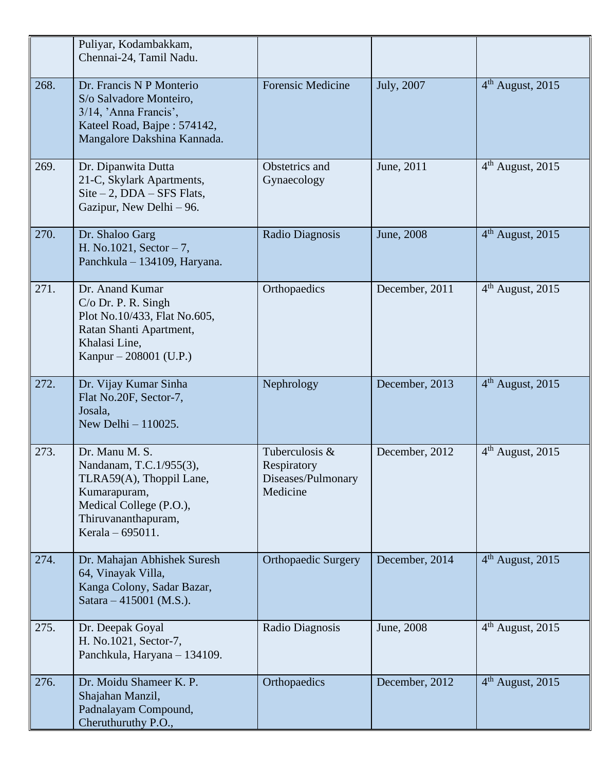|      | Puliyar, Kodambakkam,<br>Chennai-24, Tamil Nadu.                                                                                                            |                                                                 |                |                              |
|------|-------------------------------------------------------------------------------------------------------------------------------------------------------------|-----------------------------------------------------------------|----------------|------------------------------|
| 268. | Dr. Francis N P Monterio<br>S/o Salvadore Monteiro,<br>3/14, 'Anna Francis',<br>Kateel Road, Bajpe: 574142,<br>Mangalore Dakshina Kannada.                  | <b>Forensic Medicine</b>                                        | July, 2007     | $4th$ August, 2015           |
| 269. | Dr. Dipanwita Dutta<br>21-C, Skylark Apartments,<br>$Site - 2$ , $DDA - SFS$ Flats,<br>Gazipur, New Delhi – 96.                                             | Obstetrics and<br>Gynaecology                                   | June, 2011     | $4th$ August, 2015           |
| 270. | Dr. Shaloo Garg<br>H. No.1021, Sector $-7$ ,<br>Panchkula - 134109, Haryana.                                                                                | Radio Diagnosis                                                 | June, 2008     | $4th$ August, 2015           |
| 271. | Dr. Anand Kumar<br>$C/O$ Dr. P. R. Singh<br>Plot No.10/433, Flat No.605,<br>Ratan Shanti Apartment,<br>Khalasi Line,<br>Kanpur – 208001 (U.P.)              | Orthopaedics                                                    | December, 2011 | $4th$ August, 2015           |
| 272. | Dr. Vijay Kumar Sinha<br>Flat No.20F, Sector-7,<br>Josala,<br>New Delhi $-110025$ .                                                                         | Nephrology                                                      | December, 2013 | $4th$ August, 2015           |
| 273. | Dr. Manu M. S.<br>Nandanam, T.C.1/955(3),<br>TLRA59(A), Thoppil Lane,<br>Kumarapuram,<br>Medical College (P.O.),<br>Thiruvananthapuram,<br>Kerala – 695011. | Tuberculosis &<br>Respiratory<br>Diseases/Pulmonary<br>Medicine | December, 2012 | 4 <sup>th</sup> August, 2015 |
| 274. | Dr. Mahajan Abhishek Suresh<br>64, Vinayak Villa,<br>Kanga Colony, Sadar Bazar,<br>Satara – 415001 (M.S.).                                                  | <b>Orthopaedic Surgery</b>                                      | December, 2014 | $4th$ August, 2015           |
| 275. | Dr. Deepak Goyal<br>H. No.1021, Sector-7,<br>Panchkula, Haryana - 134109.                                                                                   | Radio Diagnosis                                                 | June, 2008     | $4th$ August, 2015           |
| 276. | Dr. Moidu Shameer K. P.<br>Shajahan Manzil,<br>Padnalayam Compound,<br>Cheruthuruthy P.O.,                                                                  | Orthopaedics                                                    | December, 2012 | $4th$ August, 2015           |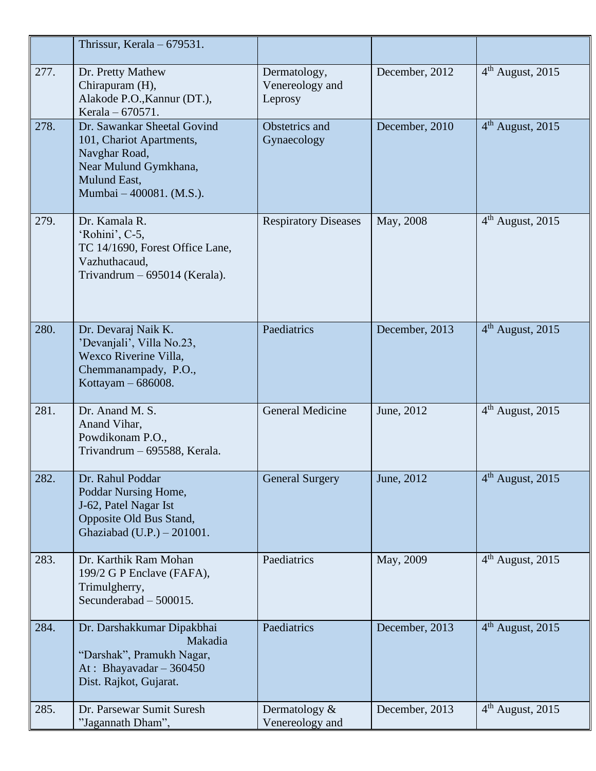|      | Thrissur, Kerala $-679531$ .                                                                                                                  |                                            |                |                              |
|------|-----------------------------------------------------------------------------------------------------------------------------------------------|--------------------------------------------|----------------|------------------------------|
| 277. | Dr. Pretty Mathew<br>Chirapuram (H),<br>Alakode P.O., Kannur (DT.),<br>Kerala – 670571.                                                       | Dermatology,<br>Venereology and<br>Leprosy | December, 2012 | $4th$ August, 2015           |
| 278. | Dr. Sawankar Sheetal Govind<br>101, Chariot Apartments,<br>Navghar Road,<br>Near Mulund Gymkhana,<br>Mulund East,<br>Mumbai – 400081. (M.S.). | Obstetrics and<br>Gynaecology              | December, 2010 | $4th$ August, 2015           |
| 279. | Dr. Kamala R.<br>'Rohini', C-5,<br>TC 14/1690, Forest Office Lane,<br>Vazhuthacaud,<br>Trivandrum - 695014 (Kerala).                          | <b>Respiratory Diseases</b>                | May, 2008      | $4th$ August, 2015           |
| 280. | Dr. Devaraj Naik K.<br>'Devanjali', Villa No.23,<br>Wexco Riverine Villa,<br>Chemmanampady, P.O.,<br>Kottayam $-686008$ .                     | Paediatrics                                | December, 2013 | $4th$ August, 2015           |
| 281. | Dr. Anand M. S.<br>Anand Vihar,<br>Powdikonam P.O.,<br>Trivandrum - 695588, Kerala.                                                           | <b>General Medicine</b>                    | June, 2012     | $4th$ August, 2015           |
| 282. | Dr. Rahul Poddar<br>Poddar Nursing Home,<br>J-62, Patel Nagar Ist<br>Opposite Old Bus Stand,<br>Ghaziabad (U.P.) - 201001.                    | <b>General Surgery</b>                     | June, 2012     | $4th$ August, 2015           |
| 283. | Dr. Karthik Ram Mohan<br>199/2 G P Enclave (FAFA),<br>Trimulgherry,<br>Secunderabad - 500015.                                                 | Paediatrics                                | May, 2009      | 4 <sup>th</sup> August, 2015 |
| 284. | Dr. Darshakkumar Dipakbhai<br>Makadia<br>"Darshak", Pramukh Nagar,<br>At: Bhayavadar $-360450$<br>Dist. Rajkot, Gujarat.                      | Paediatrics                                | December, 2013 | $4th$ August, 2015           |
| 285. | Dr. Parsewar Sumit Suresh<br>"Jagannath Dham",                                                                                                | Dermatology $&$<br>Venereology and         | December, 2013 | $4th$ August, 2015           |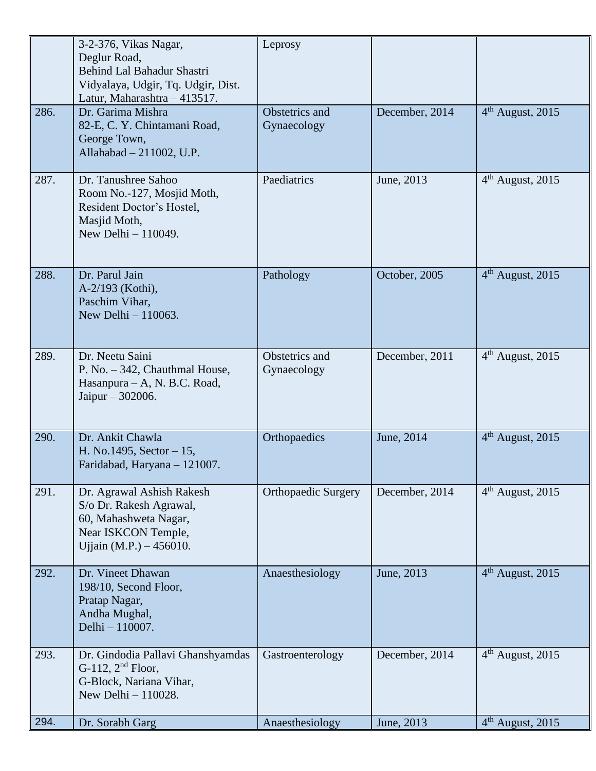|      | 3-2-376, Vikas Nagar,<br>Deglur Road,<br>Behind Lal Bahadur Shastri<br>Vidyalaya, Udgir, Tq. Udgir, Dist.<br>Latur, Maharashtra - 413517. | Leprosy                       |                |                                         |
|------|-------------------------------------------------------------------------------------------------------------------------------------------|-------------------------------|----------------|-----------------------------------------|
| 286. | Dr. Garima Mishra<br>82-E, C. Y. Chintamani Road,<br>George Town,<br>Allahabad - 211002, U.P.                                             | Obstetrics and<br>Gynaecology | December, 2014 | $4th$ August, 2015                      |
| 287. | Dr. Tanushree Sahoo<br>Room No.-127, Mosjid Moth,<br>Resident Doctor's Hostel,<br>Masjid Moth,<br>New Delhi - 110049.                     | Paediatrics                   | June, 2013     | 4 <sup>th</sup> August, 2015            |
| 288. | Dr. Parul Jain<br>A-2/193 (Kothi),<br>Paschim Vihar,<br>New Delhi $-110063$ .                                                             | Pathology                     | October, 2005  | $4th$ August, 2015                      |
| 289. | Dr. Neetu Saini<br>P. No. - 342, Chauthmal House,<br>Hasanpura – A, N. B.C. Road,<br>Jaipur $-302006$ .                                   | Obstetrics and<br>Gynaecology | December, 2011 | $4th$ August, 2015                      |
| 290. | Dr. Ankit Chawla<br>H. No.1495, Sector - 15,<br>Faridabad, Haryana - 121007.                                                              | Orthopaedics                  | June, 2014     | $4th$ August, 2015                      |
| 291. | Dr. Agrawal Ashish Rakesh<br>S/o Dr. Rakesh Agrawal,<br>60, Mahashweta Nagar,<br>Near ISKCON Temple,<br>Ujjain (M.P.) $-456010$ .         | <b>Orthopaedic Surgery</b>    | December, 2014 | $\overline{4}^{\text{th}}$ August, 2015 |
| 292. | Dr. Vineet Dhawan<br>198/10, Second Floor,<br>Pratap Nagar,<br>Andha Mughal,<br>Delhi - 110007.                                           | Anaesthesiology               | June, 2013     | $4th$ August, 2015                      |
| 293. | Dr. Gindodia Pallavi Ghanshyamdas<br>G-112, $2nd$ Floor,<br>G-Block, Nariana Vihar,<br>New Delhi $-110028$ .                              | Gastroenterology              | December, 2014 | 4 <sup>th</sup> August, 2015            |
| 294. | Dr. Sorabh Garg                                                                                                                           | Anaesthesiology               | June, 2013     | $4th$ August, 2015                      |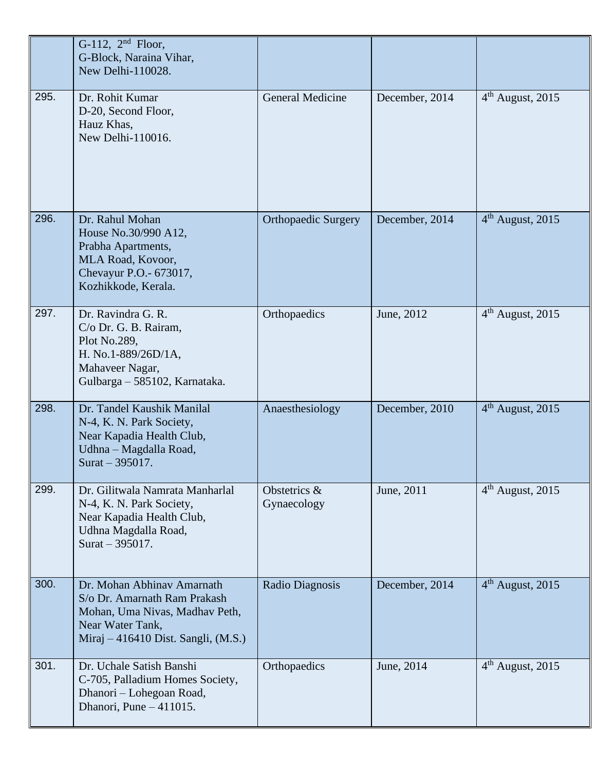|      | G-112, $2nd$ Floor,<br>G-Block, Naraina Vihar,<br>New Delhi-110028.                                                                                     |                             |                |                    |
|------|---------------------------------------------------------------------------------------------------------------------------------------------------------|-----------------------------|----------------|--------------------|
| 295. | Dr. Rohit Kumar<br>D-20, Second Floor,<br>Hauz Khas,<br>New Delhi-110016.                                                                               | <b>General Medicine</b>     | December, 2014 | $4th$ August, 2015 |
| 296. | Dr. Rahul Mohan<br>House No.30/990 A12,<br>Prabha Apartments,<br>MLA Road, Kovoor,<br>Chevayur P.O. - 673017,<br>Kozhikkode, Kerala.                    | <b>Orthopaedic Surgery</b>  | December, 2014 | $4th$ August, 2015 |
| 297. | Dr. Ravindra G. R.<br>C/o Dr. G. B. Rairam,<br>Plot No.289,<br>H. No.1-889/26D/1A,<br>Mahaveer Nagar,<br>Gulbarga - 585102, Karnataka.                  | Orthopaedics                | June, 2012     | $4th$ August, 2015 |
| 298. | Dr. Tandel Kaushik Manilal<br>N-4, K. N. Park Society,<br>Near Kapadia Health Club,<br>Udhna - Magdalla Road,<br>Surat $-395017$ .                      | Anaesthesiology             | December, 2010 | $4th$ August, 2015 |
| 299. | Dr. Gilitwala Namrata Manharlal<br>N-4, K. N. Park Society,<br>Near Kapadia Health Club,<br>Udhna Magdalla Road,<br>Surat $-395017$ .                   | Obstetrics &<br>Gynaecology | June, 2011     | $4th$ August, 2015 |
| 300. | Dr. Mohan Abhinav Amarnath<br>S/o Dr. Amarnath Ram Prakash<br>Mohan, Uma Nivas, Madhav Peth,<br>Near Water Tank,<br>Miraj - 416410 Dist. Sangli, (M.S.) | Radio Diagnosis             | December, 2014 | $4th$ August, 2015 |
| 301. | Dr. Uchale Satish Banshi<br>C-705, Palladium Homes Society,<br>Dhanori - Lohegoan Road,<br>Dhanori, Pune $-411015$ .                                    | Orthopaedics                | June, 2014     | $4th$ August, 2015 |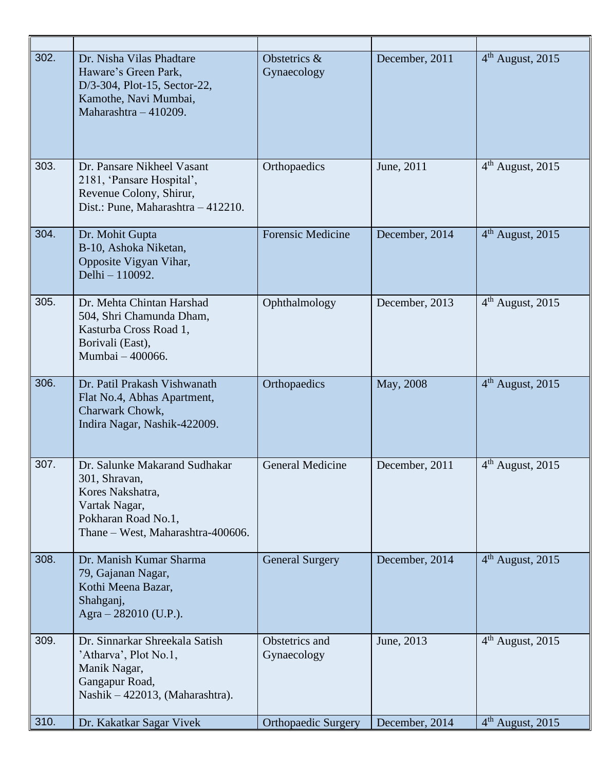| 302. | Dr. Nisha Vilas Phadtare<br>Haware's Green Park,<br>D/3-304, Plot-15, Sector-22,<br>Kamothe, Navi Mumbai,<br>Maharashtra - 410209.              | Obstetrics &<br>Gynaecology   | December, 2011 | $4th$ August, 2015 |
|------|-------------------------------------------------------------------------------------------------------------------------------------------------|-------------------------------|----------------|--------------------|
| 303. | Dr. Pansare Nikheel Vasant<br>2181, 'Pansare Hospital',<br>Revenue Colony, Shirur,<br>Dist.: Pune, Maharashtra - 412210.                        | Orthopaedics                  | June, 2011     | $4th$ August, 2015 |
| 304. | Dr. Mohit Gupta<br>B-10, Ashoka Niketan,<br>Opposite Vigyan Vihar,<br>Delhi - 110092.                                                           | <b>Forensic Medicine</b>      | December, 2014 | $4th$ August, 2015 |
| 305. | Dr. Mehta Chintan Harshad<br>504, Shri Chamunda Dham,<br>Kasturba Cross Road 1,<br>Borivali (East),<br>Mumbai - 400066.                         | Ophthalmology                 | December, 2013 | $4th$ August, 2015 |
| 306. | Dr. Patil Prakash Vishwanath<br>Flat No.4, Abhas Apartment,<br>Charwark Chowk,<br>Indira Nagar, Nashik-422009.                                  | Orthopaedics                  | May, 2008      | $4th$ August, 2015 |
| 307. | Dr. Salunke Makarand Sudhakar<br>301, Shravan,<br>Kores Nakshatra,<br>Vartak Nagar,<br>Pokharan Road No.1,<br>Thane - West, Maharashtra-400606. | <b>General Medicine</b>       | December, 2011 | $4th$ August, 2015 |
| 308. | Dr. Manish Kumar Sharma<br>79, Gajanan Nagar,<br>Kothi Meena Bazar,<br>Shahganj,<br>Agra $-282010$ (U.P.).                                      | <b>General Surgery</b>        | December, 2014 | $4th$ August, 2015 |
| 309. | Dr. Sinnarkar Shreekala Satish<br>'Atharva', Plot No.1,<br>Manik Nagar,<br>Gangapur Road,<br>Nashik – 422013, (Maharashtra).                    | Obstetrics and<br>Gynaecology | June, 2013     | $4th$ August, 2015 |
| 310. | Dr. Kakatkar Sagar Vivek                                                                                                                        | <b>Orthopaedic Surgery</b>    | December, 2014 | $4th$ August, 2015 |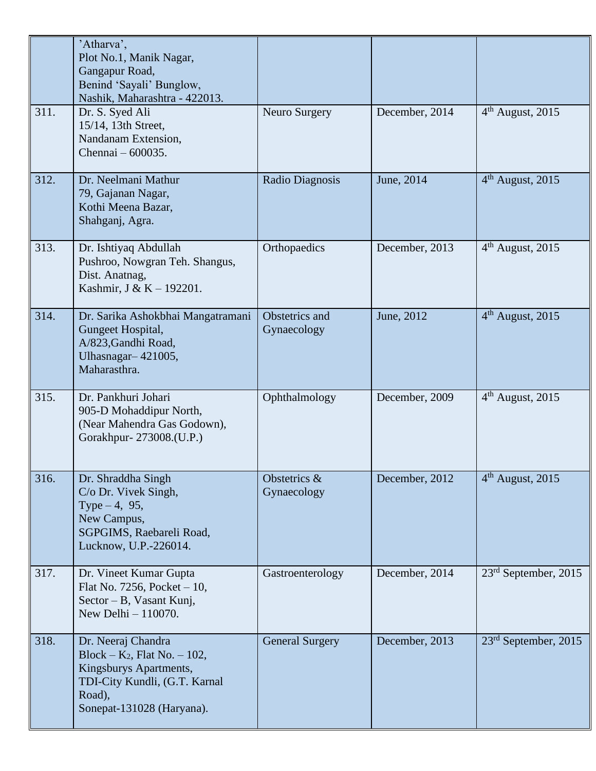|      | 'Atharva',<br>Plot No.1, Manik Nagar,<br>Gangapur Road,<br>Benind 'Sayali' Bunglow,<br>Nashik, Maharashtra - 422013.                                    |                               |                |                              |
|------|---------------------------------------------------------------------------------------------------------------------------------------------------------|-------------------------------|----------------|------------------------------|
| 311. | Dr. S. Syed Ali<br>15/14, 13th Street,<br>Nandanam Extension,<br>Chennai – 600035.                                                                      | Neuro Surgery                 | December, 2014 | 4 <sup>th</sup> August, 2015 |
| 312. | Dr. Neelmani Mathur<br>79, Gajanan Nagar,<br>Kothi Meena Bazar,<br>Shahganj, Agra.                                                                      | Radio Diagnosis               | June, 2014     | $4th$ August, 2015           |
| 313. | Dr. Ishtiyaq Abdullah<br>Pushroo, Nowgran Teh. Shangus,<br>Dist. Anatnag,<br>Kashmir, J & K - 192201.                                                   | Orthopaedics                  | December, 2013 | $4th$ August, 2015           |
| 314. | Dr. Sarika Ashokbhai Mangatramani<br>Gungeet Hospital,<br>A/823, Gandhi Road,<br>Ulhasnagar-421005,<br>Maharasthra.                                     | Obstetrics and<br>Gynaecology | June, 2012     | $4th$ August, 2015           |
| 315. | Dr. Pankhuri Johari<br>905-D Mohaddipur North,<br>(Near Mahendra Gas Godown),<br>Gorakhpur-273008.(U.P.)                                                | Ophthalmology                 | December, 2009 | 4 <sup>th</sup> August, 2015 |
| 316. | Dr. Shraddha Singh<br>C/o Dr. Vivek Singh,<br>Type $-4$ , 95,<br>New Campus,<br>SGPGIMS, Raebareli Road,<br>Lucknow, U.P.-226014.                       | Obstetrics &<br>Gynaecology   | December, 2012 | $4th$ August, 2015           |
| 317. | Dr. Vineet Kumar Gupta<br>Flat No. 7256, Pocket $-10$ ,<br>Sector – B, Vasant Kunj,<br>New Delhi $-110070$ .                                            | Gastroenterology              | December, 2014 | $23rd$ September, 2015       |
| 318. | Dr. Neeraj Chandra<br>Block – $K_2$ , Flat No. – 102,<br>Kingsburys Apartments,<br>TDI-City Kundli, (G.T. Karnal<br>Road),<br>Sonepat-131028 (Haryana). | <b>General Surgery</b>        | December, 2013 | $23rd$ September, 2015       |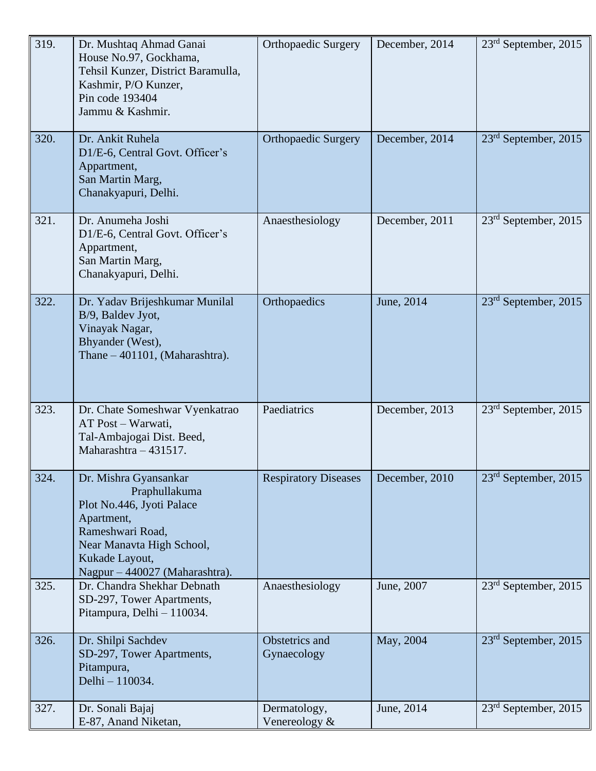| 319. | Dr. Mushtaq Ahmad Ganai<br>House No.97, Gockhama,<br>Tehsil Kunzer, District Baramulla,<br>Kashmir, P/O Kunzer,<br>Pin code 193404<br>Jammu & Kashmir.                                 | <b>Orthopaedic Surgery</b>    | December, 2014 | 23 <sup>rd</sup> September, 2015 |
|------|----------------------------------------------------------------------------------------------------------------------------------------------------------------------------------------|-------------------------------|----------------|----------------------------------|
| 320. | Dr. Ankit Ruhela<br>D1/E-6, Central Govt. Officer's<br>Appartment,<br>San Martin Marg,<br>Chanakyapuri, Delhi.                                                                         | <b>Orthopaedic Surgery</b>    | December, 2014 | $23rd$ September, 2015           |
| 321. | Dr. Anumeha Joshi<br>D1/E-6, Central Govt. Officer's<br>Appartment,<br>San Martin Marg,<br>Chanakyapuri, Delhi.                                                                        | Anaesthesiology               | December, 2011 | $23rd$ September, 2015           |
| 322. | Dr. Yadav Brijeshkumar Munilal<br>B/9, Baldev Jyot,<br>Vinayak Nagar,<br>Bhyander (West),<br>Thane – 401101, (Maharashtra).                                                            | Orthopaedics                  | June, 2014     | $23rd$ September, 2015           |
| 323. | Dr. Chate Someshwar Vyenkatrao<br>AT Post – Warwati,<br>Tal-Ambajogai Dist. Beed,<br>Maharashtra - 431517.                                                                             | Paediatrics                   | December, 2013 | $23rd$ September, 2015           |
| 324. | Dr. Mishra Gyansankar<br>Praphullakuma<br>Plot No.446, Jyoti Palace<br>Apartment,<br>Rameshwari Road,<br>Near Manavta High School,<br>Kukade Layout,<br>Nagpur – 440027 (Maharashtra). | <b>Respiratory Diseases</b>   | December, 2010 | 23 <sup>rd</sup> September, 2015 |
| 325. | Dr. Chandra Shekhar Debnath<br>SD-297, Tower Apartments,<br>Pitampura, Delhi - 110034.                                                                                                 | Anaesthesiology               | June, 2007     | $23rd$ September, 2015           |
| 326. | Dr. Shilpi Sachdev<br>SD-297, Tower Apartments,<br>Pitampura,<br>Delhi - 110034.                                                                                                       | Obstetrics and<br>Gynaecology | May, 2004      | $23rd$ September, 2015           |
| 327. | Dr. Sonali Bajaj<br>E-87, Anand Niketan,                                                                                                                                               | Dermatology,<br>Venereology & | June, 2014     | $23rd$ September, 2015           |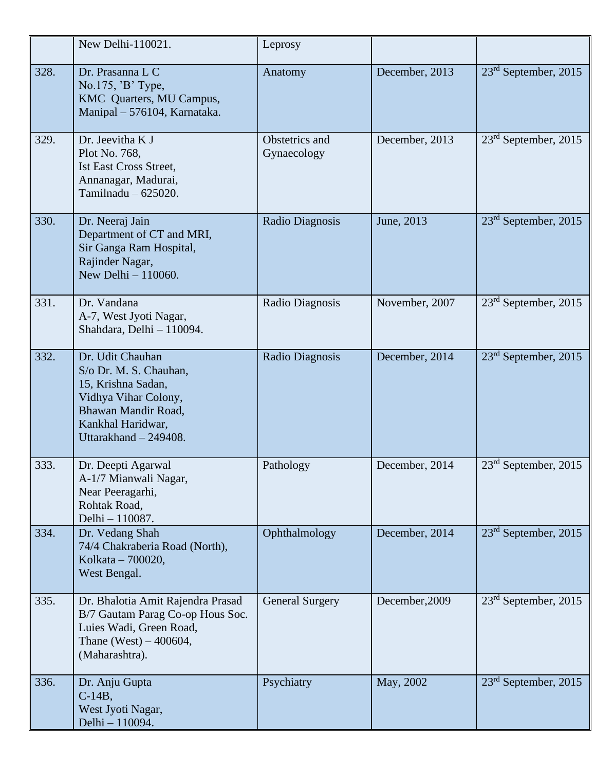|      | New Delhi-110021.                                                                                                                                             | Leprosy                       |                |                                  |
|------|---------------------------------------------------------------------------------------------------------------------------------------------------------------|-------------------------------|----------------|----------------------------------|
| 328. | Dr. Prasanna L C<br>No.175, 'B' Type,<br>KMC Quarters, MU Campus,<br>Manipal - 576104, Karnataka.                                                             | Anatomy                       | December, 2013 | $23rd$ September, 2015           |
| 329. | Dr. Jeevitha K J<br>Plot No. 768,<br><b>Ist East Cross Street,</b><br>Annanagar, Madurai,<br>Tamilnadu - 625020.                                              | Obstetrics and<br>Gynaecology | December, 2013 | $23rd$ September, 2015           |
| 330. | Dr. Neeraj Jain<br>Department of CT and MRI,<br>Sir Ganga Ram Hospital,<br>Rajinder Nagar,<br>New Delhi - 110060.                                             | Radio Diagnosis               | June, 2013     | $23rd$ September, 2015           |
| 331. | Dr. Vandana<br>A-7, West Jyoti Nagar,<br>Shahdara, Delhi - 110094.                                                                                            | Radio Diagnosis               | November, 2007 | 23 <sup>rd</sup> September, 2015 |
| 332. | Dr. Udit Chauhan<br>S/o Dr. M. S. Chauhan,<br>15, Krishna Sadan,<br>Vidhya Vihar Colony,<br>Bhawan Mandir Road,<br>Kankhal Haridwar,<br>Uttarakhand - 249408. | Radio Diagnosis               | December, 2014 | $23rd$ September, 2015           |
| 333. | Dr. Deepti Agarwal<br>A-1/7 Mianwali Nagar,<br>Near Peeragarhi,<br>Rohtak Road,<br>Delhi - 110087.                                                            | Pathology                     | December, 2014 | $23rd$ September, 2015           |
| 334. | Dr. Vedang Shah<br>74/4 Chakraberia Road (North),<br>Kolkata - 700020,<br>West Bengal.                                                                        | Ophthalmology                 | December, 2014 | 23 <sup>rd</sup> September, 2015 |
| 335. | Dr. Bhalotia Amit Rajendra Prasad<br>B/7 Gautam Parag Co-op Hous Soc.<br>Luies Wadi, Green Road,<br>Thane (West) $-400604$ ,<br>(Maharashtra).                | <b>General Surgery</b>        | December, 2009 | $23rd$ September, 2015           |
| 336. | Dr. Anju Gupta<br>$C-14B$ ,<br>West Jyoti Nagar,<br>Delhi - 110094.                                                                                           | Psychiatry                    | May, 2002      | $23rd$ September, 2015           |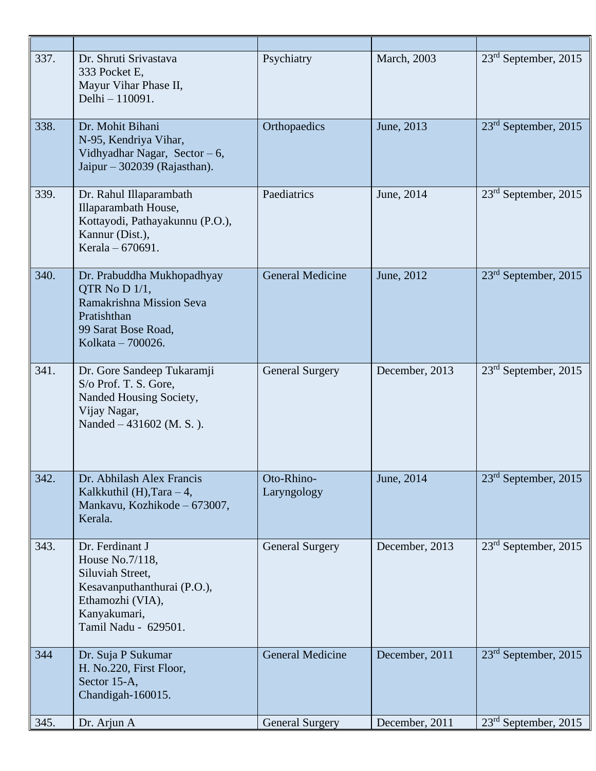| 337. | Dr. Shruti Srivastava<br>333 Pocket E.<br>Mayur Vihar Phase II,<br>Delhi - 110091.                                                                | Psychiatry                | March, 2003    | $23rd$ September, 2015           |
|------|---------------------------------------------------------------------------------------------------------------------------------------------------|---------------------------|----------------|----------------------------------|
| 338. | Dr. Mohit Bihani<br>N-95, Kendriya Vihar,<br>Vidhyadhar Nagar, Sector $-6$ ,<br>Jaipur – 302039 (Rajasthan).                                      | Orthopaedics              | June, 2013     | $23rd$ September, 2015           |
| 339. | Dr. Rahul Illaparambath<br>Illaparambath House,<br>Kottayodi, Pathayakunnu (P.O.),<br>Kannur (Dist.),<br>Kerala – 670691.                         | Paediatrics               | June, 2014     | 23 <sup>rd</sup> September, 2015 |
| 340. | Dr. Prabuddha Mukhopadhyay<br>QTR No D 1/1,<br>Ramakrishna Mission Seva<br>Pratishthan<br>99 Sarat Bose Road,<br>Kolkata - 700026.                | <b>General Medicine</b>   | June, 2012     | $23rd$ September, 2015           |
| 341. | Dr. Gore Sandeep Tukaramji<br>S/o Prof. T. S. Gore,<br>Nanded Housing Society,<br>Vijay Nagar,<br>Nanded - 431602 (M. S.).                        | <b>General Surgery</b>    | December, 2013 | $23rd$ September, 2015           |
| 342. | Dr. Abhilash Alex Francis<br>Kalkkuthil (H), Tara $-4$ ,<br>Mankavu, Kozhikode - 673007,<br>Kerala.                                               | Oto-Rhino-<br>Laryngology | June, 2014     | 23 <sup>rd</sup> September, 2015 |
| 343. | Dr. Ferdinant J<br>House No.7/118,<br>Siluviah Street,<br>Kesavanputhanthurai (P.O.),<br>Ethamozhi (VIA),<br>Kanyakumari,<br>Tamil Nadu - 629501. | <b>General Surgery</b>    | December, 2013 | $23rd$ September, 2015           |
| 344  | Dr. Suja P Sukumar<br>H. No.220, First Floor,<br>Sector 15-A,<br>Chandigah-160015.                                                                | General Medicine          | December, 2011 | $23rd$ September, 2015           |
| 345. | Dr. Arjun A                                                                                                                                       | <b>General Surgery</b>    | December, 2011 | $23rd$ September, 2015           |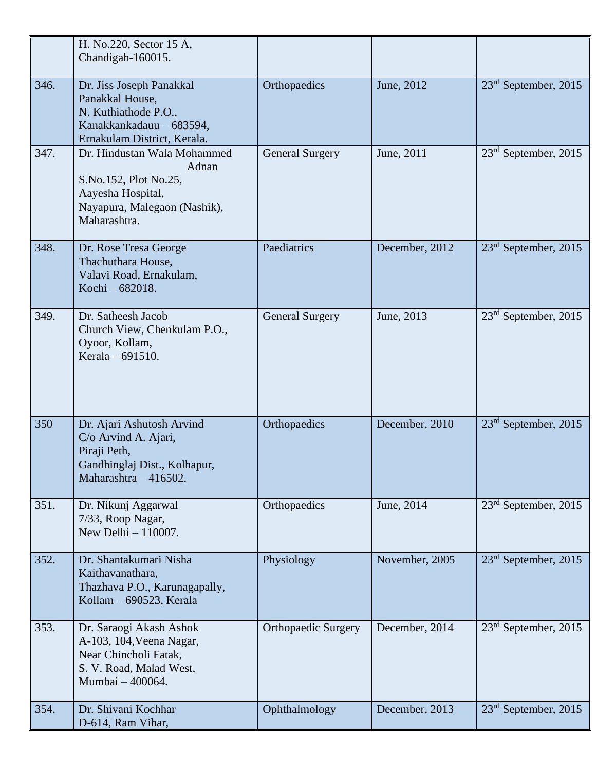|      | H. No.220, Sector 15 A,<br>Chandigah-160015.                                                                                       |                            |                |                                  |
|------|------------------------------------------------------------------------------------------------------------------------------------|----------------------------|----------------|----------------------------------|
| 346. | Dr. Jiss Joseph Panakkal<br>Panakkal House,<br>N. Kuthiathode P.O.,<br>Kanakkankadauu - 683594,<br>Ernakulam District, Kerala.     | Orthopaedics               | June, 2012     | $23rd$ September, 2015           |
| 347. | Dr. Hindustan Wala Mohammed<br>Adnan<br>S.No.152, Plot No.25,<br>Aayesha Hospital,<br>Nayapura, Malegaon (Nashik),<br>Maharashtra. | <b>General Surgery</b>     | June, 2011     | $23rd$ September, 2015           |
| 348. | Dr. Rose Tresa George<br>Thachuthara House,<br>Valavi Road, Ernakulam,<br>Kochi - 682018.                                          | Paediatrics                | December, 2012 | $23rd$ September, 2015           |
| 349. | Dr. Satheesh Jacob<br>Church View, Chenkulam P.O.,<br>Oyoor, Kollam,<br>Kerala - 691510.                                           | <b>General Surgery</b>     | June, 2013     | 23 <sup>rd</sup> September, 2015 |
| 350  | Dr. Ajari Ashutosh Arvind<br>C/o Arvind A. Ajari,<br>Piraji Peth,<br>Gandhinglaj Dist., Kolhapur,<br>Maharashtra - 416502.         | Orthopaedics               | December, 2010 | $23rd$ September, 2015           |
| 351. | Dr. Nikunj Aggarwal<br>7/33, Roop Nagar,<br>New Delhi - 110007.                                                                    | Orthopaedics               | June, 2014     | 23 <sup>rd</sup> September, 2015 |
| 352. | Dr. Shantakumari Nisha<br>Kaithavanathara,<br>Thazhava P.O., Karunagapally,<br>Kollam – 690523, Kerala                             | Physiology                 | November, 2005 | $23rd$ September, 2015           |
| 353. | Dr. Saraogi Akash Ashok<br>A-103, 104, Veena Nagar,<br>Near Chincholi Fatak,<br>S. V. Road, Malad West,<br>Mumbai - 400064.        | <b>Orthopaedic Surgery</b> | December, 2014 | $23rd$ September, 2015           |
| 354. | Dr. Shivani Kochhar<br>D-614, Ram Vihar,                                                                                           | Ophthalmology              | December, 2013 | $23rd$ September, 2015           |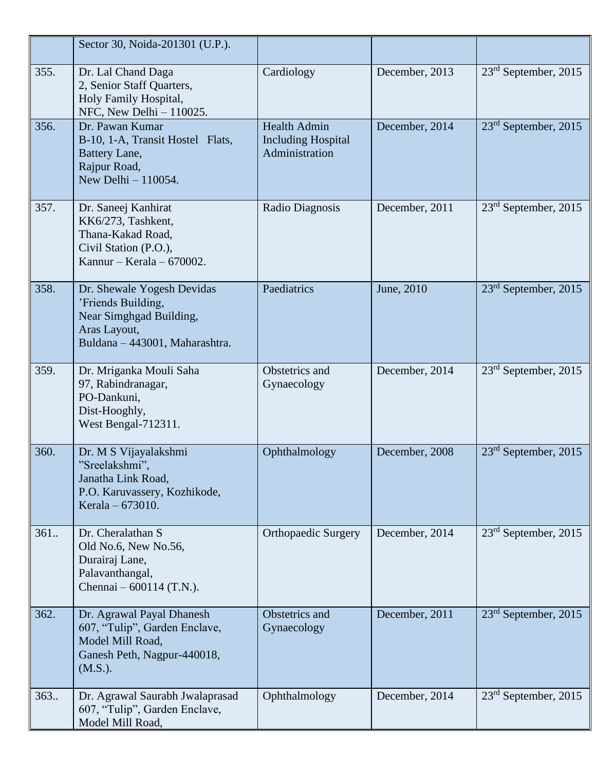|      | Sector 30, Noida-201301 (U.P.).                                                                                               |                                                                    |                |                        |
|------|-------------------------------------------------------------------------------------------------------------------------------|--------------------------------------------------------------------|----------------|------------------------|
| 355. | Dr. Lal Chand Daga<br>2, Senior Staff Quarters,<br>Holy Family Hospital,<br>NFC, New Delhi - 110025.                          | Cardiology                                                         | December, 2013 | $23rd$ September, 2015 |
| 356. | Dr. Pawan Kumar<br>B-10, 1-A, Transit Hostel Flats,<br>Battery Lane,<br>Rajpur Road,<br>New Delhi $-110054$ .                 | <b>Health Admin</b><br><b>Including Hospital</b><br>Administration | December, 2014 | $23rd$ September, 2015 |
| 357. | Dr. Saneej Kanhirat<br>KK6/273, Tashkent,<br>Thana-Kakad Road,<br>Civil Station (P.O.),<br>Kannur - Kerala - $670002$ .       | Radio Diagnosis                                                    | December, 2011 | $23rd$ September, 2015 |
| 358. | Dr. Shewale Yogesh Devidas<br>'Friends Building,<br>Near Simghgad Building,<br>Aras Layout,<br>Buldana - 443001, Maharashtra. | Paediatrics                                                        | June, 2010     | $23rd$ September, 2015 |
| 359. | Dr. Mriganka Mouli Saha<br>97, Rabindranagar,<br>PO-Dankuni,<br>Dist-Hooghly,<br>West Bengal-712311.                          | Obstetrics and<br>Gynaecology                                      | December, 2014 | $23rd$ September, 2015 |
| 360. | Dr. M S Vijayalakshmi<br>"Sreelakshmi",<br>Janatha Link Road,<br>P.O. Karuvassery, Kozhikode,<br>Kerala – 673010.             | Ophthalmology                                                      | December, 2008 | $23rd$ September, 2015 |
| 361. | Dr. Cheralathan S<br>Old No.6, New No.56,<br>Durairaj Lane,<br>Palavanthangal,<br>Chennai $-600114$ (T.N.).                   | <b>Orthopaedic Surgery</b>                                         | December, 2014 | $23rd$ September, 2015 |
| 362. | Dr. Agrawal Payal Dhanesh<br>607, "Tulip", Garden Enclave,<br>Model Mill Road,<br>Ganesh Peth, Nagpur-440018,<br>(M.S.).      | Obstetrics and<br>Gynaecology                                      | December, 2011 | $23rd$ September, 2015 |
| 363. | Dr. Agrawal Saurabh Jwalaprasad<br>607, "Tulip", Garden Enclave,<br>Model Mill Road,                                          | Ophthalmology                                                      | December, 2014 | $23rd$ September, 2015 |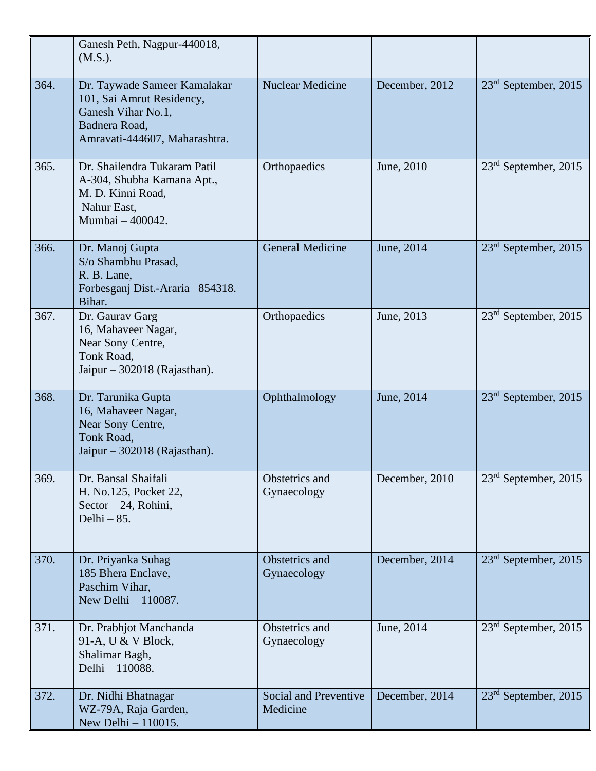|      | Ganesh Peth, Nagpur-440018,<br>(M.S.).                                                                                            |                                          |                |                                  |
|------|-----------------------------------------------------------------------------------------------------------------------------------|------------------------------------------|----------------|----------------------------------|
| 364. | Dr. Taywade Sameer Kamalakar<br>101, Sai Amrut Residency,<br>Ganesh Vihar No.1,<br>Badnera Road,<br>Amravati-444607, Maharashtra. | <b>Nuclear Medicine</b>                  | December, 2012 | 23 <sup>rd</sup> September, 2015 |
| 365. | Dr. Shailendra Tukaram Patil<br>A-304, Shubha Kamana Apt.,<br>M. D. Kinni Road,<br>Nahur East,<br>Mumbai - 400042.                | Orthopaedics                             | June, 2010     | $23rd$ September, 2015           |
| 366. | Dr. Manoj Gupta<br>S/o Shambhu Prasad,<br>R. B. Lane,<br>Forbesganj Dist.-Araria-854318.<br>Bihar.                                | <b>General Medicine</b>                  | June, 2014     | $23rd$ September, 2015           |
| 367. | Dr. Gaurav Garg<br>16, Mahaveer Nagar,<br>Near Sony Centre,<br>Tonk Road,<br>Jaipur $-302018$ (Rajasthan).                        | Orthopaedics                             | June, 2013     | 23 <sup>rd</sup> September, 2015 |
| 368. | Dr. Tarunika Gupta<br>16, Mahaveer Nagar,<br>Near Sony Centre,<br>Tonk Road,<br>Jaipur - 302018 (Rajasthan).                      | Ophthalmology                            | June, 2014     | $23rd$ September, 2015           |
| 369. | Dr. Bansal Shaifali<br>H. No.125, Pocket 22,<br>Sector $-24$ , Rohini,<br>Delhi $-85$ .                                           | Obstetrics and<br>Gynaecology            | December, 2010 | 23 <sup>rd</sup> September, 2015 |
| 370. | Dr. Priyanka Suhag<br>185 Bhera Enclave,<br>Paschim Vihar,<br>New Delhi - 110087.                                                 | Obstetrics and<br>Gynaecology            | December, 2014 | $23rd$ September, 2015           |
| 371. | Dr. Prabhjot Manchanda<br>91-A, U & V Block,<br>Shalimar Bagh,<br>Delhi - 110088.                                                 | Obstetrics and<br>Gynaecology            | June, 2014     | $23rd$ September, 2015           |
| 372. | Dr. Nidhi Bhatnagar<br>WZ-79A, Raja Garden,<br>New Delhi - 110015.                                                                | <b>Social and Preventive</b><br>Medicine | December, 2014 | $23rd$ September, 2015           |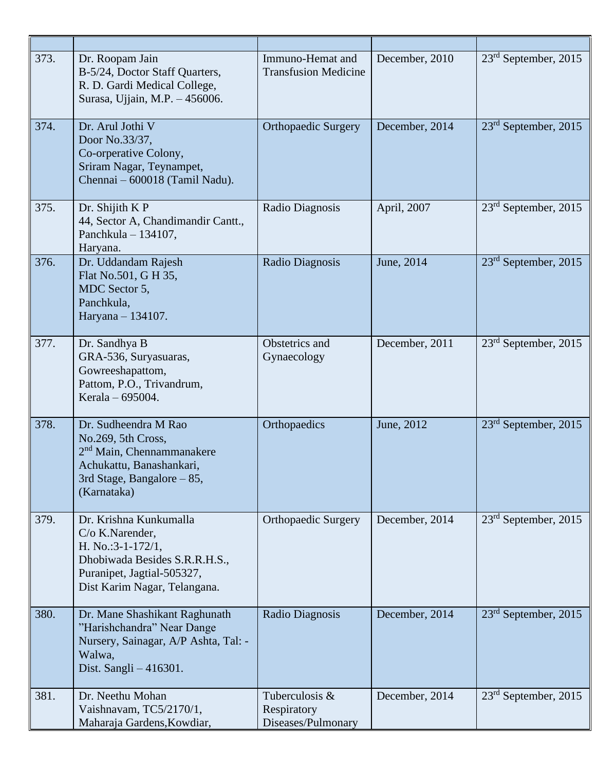| 373. | Dr. Roopam Jain<br>B-5/24, Doctor Staff Quarters,<br>R. D. Gardi Medical College,<br>Surasa, Ujjain, M.P. - 456006.                                                  | Immuno-Hemat and<br><b>Transfusion Medicine</b>     | December, 2010 | $23rd$ September, 2015           |
|------|----------------------------------------------------------------------------------------------------------------------------------------------------------------------|-----------------------------------------------------|----------------|----------------------------------|
| 374. | Dr. Arul Jothi V<br>Door No.33/37,<br>Co-orperative Colony,<br>Sriram Nagar, Teynampet,<br>Chennai - 600018 (Tamil Nadu).                                            | <b>Orthopaedic Surgery</b>                          | December, 2014 | $23rd$ September, 2015           |
| 375. | Dr. Shijith K P<br>44, Sector A, Chandimandir Cantt.,<br>Panchkula $-134107$ ,<br>Haryana.                                                                           | Radio Diagnosis                                     | April, 2007    | $23rd$ September, 2015           |
| 376. | Dr. Uddandam Rajesh<br>Flat No.501, G H 35,<br>MDC Sector 5,<br>Panchkula,<br>Haryana - 134107.                                                                      | Radio Diagnosis                                     | June, 2014     | 23 <sup>rd</sup> September, 2015 |
| 377. | Dr. Sandhya B<br>GRA-536, Suryasuaras,<br>Gowreeshapattom,<br>Pattom, P.O., Trivandrum,<br>Kerala - 695004.                                                          | Obstetrics and<br>Gynaecology                       | December, 2011 | 23 <sup>rd</sup> September, 2015 |
| 378. | Dr. Sudheendra M Rao<br>No.269, 5th Cross,<br>2 <sup>nd</sup> Main, Chennammanakere<br>Achukattu, Banashankari,<br>3rd Stage, Bangalore - 85,<br>(Karnataka)         | Orthopaedics                                        | June, 2012     | $23rd$ September, 2015           |
| 379. | Dr. Krishna Kunkumalla<br>$C/O$ K. Narender,<br>H. No.: $3-1-172/1$ ,<br>Dhobiwada Besides S.R.R.H.S.,<br>Puranipet, Jagtial-505327,<br>Dist Karim Nagar, Telangana. | <b>Orthopaedic Surgery</b>                          | December, 2014 | 23 <sup>rd</sup> September, 2015 |
| 380. | Dr. Mane Shashikant Raghunath<br>"Harishchandra" Near Dange<br>Nursery, Sainagar, A/P Ashta, Tal: -<br>Walwa,<br>Dist. Sangli $-416301$ .                            | Radio Diagnosis                                     | December, 2014 | $23rd$ September, 2015           |
| 381. | Dr. Neethu Mohan<br>Vaishnavam, TC5/2170/1,<br>Maharaja Gardens, Kowdiar,                                                                                            | Tuberculosis &<br>Respiratory<br>Diseases/Pulmonary | December, 2014 | $23rd$ September, 2015           |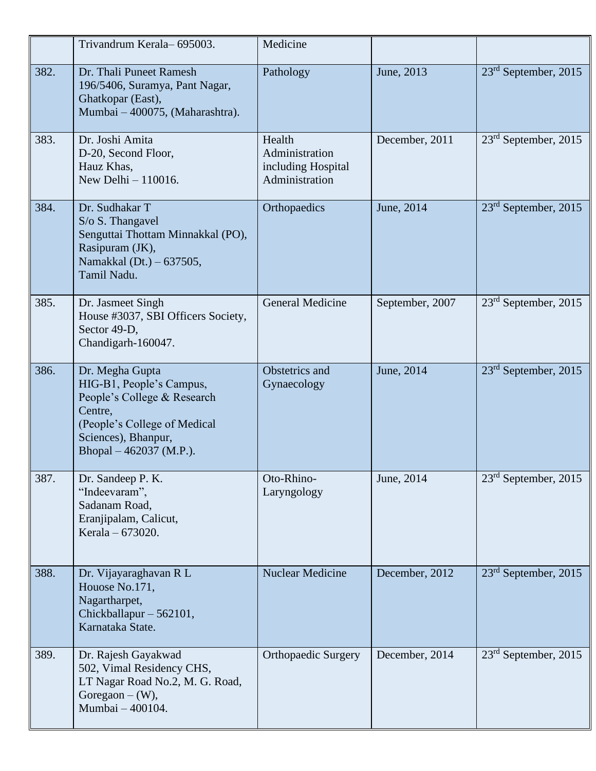|      | Trivandrum Kerala-695003.                                                                                                                                               | Medicine                                                         |                 |                                  |
|------|-------------------------------------------------------------------------------------------------------------------------------------------------------------------------|------------------------------------------------------------------|-----------------|----------------------------------|
| 382. | Dr. Thali Puneet Ramesh<br>196/5406, Suramya, Pant Nagar,<br>Ghatkopar (East),<br>Mumbai - 400075, (Maharashtra).                                                       | Pathology                                                        | June, 2013      | 23 <sup>rd</sup> September, 2015 |
| 383. | Dr. Joshi Amita<br>D-20, Second Floor,<br>Hauz Khas,<br>New Delhi $-110016$ .                                                                                           | Health<br>Administration<br>including Hospital<br>Administration | December, 2011  | 23 <sup>rd</sup> September, 2015 |
| 384. | Dr. Sudhakar T<br>S/o S. Thangavel<br>Senguttai Thottam Minnakkal (PO),<br>Rasipuram (JK),<br>Namakkal (Dt.) – 637505,<br>Tamil Nadu.                                   | Orthopaedics                                                     | June, 2014      | $23rd$ September, 2015           |
| 385. | Dr. Jasmeet Singh<br>House #3037, SBI Officers Society,<br>Sector 49-D,<br>Chandigarh-160047.                                                                           | General Medicine                                                 | September, 2007 | $23rd$ September, 2015           |
| 386. | Dr. Megha Gupta<br>HIG-B1, People's Campus,<br>People's College & Research<br>Centre,<br>(People's College of Medical<br>Sciences), Bhanpur,<br>Bhopal – 462037 (M.P.). | Obstetrics and<br>Gynaecology                                    | June, 2014      | $23rd$ September, 2015           |
| 387. | Dr. Sandeep P. K.<br>"Indeevaram",<br>Sadanam Road,<br>Eranjipalam, Calicut,<br>Kerala – 673020.                                                                        | Oto-Rhino-<br>Laryngology                                        | June, 2014      | 23 <sup>rd</sup> September, 2015 |
| 388. | Dr. Vijayaraghavan R L<br>Houose No.171,<br>Nagartharpet,<br>Chickballapur - 562101,<br>Karnataka State.                                                                | <b>Nuclear Medicine</b>                                          | December, 2012  | $23rd$ September, 2015           |
| 389. | Dr. Rajesh Gayakwad<br>502, Vimal Residency CHS,<br>LT Nagar Road No.2, M. G. Road,<br>Goregaon $-(W)$ ,<br>Mumbai - 400104.                                            | <b>Orthopaedic Surgery</b>                                       | December, 2014  | 23 <sup>rd</sup> September, 2015 |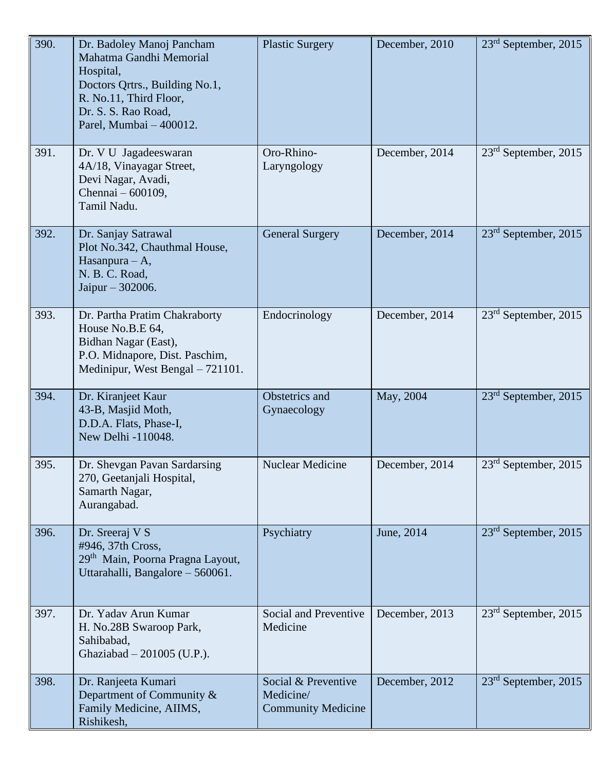| 390. | Dr. Badoley Manoj Pancham<br>Mahatma Gandhi Memorial<br>Hospital,<br>Doctors Qrtrs., Building No.1,<br>R. No.11, Third Floor,<br>Dr. S. S. Rao Road,<br>Parel, Mumbai - 400012. | <b>Plastic Surgery</b>                                        | December, 2010 | $23rd$ September, 2015           |
|------|---------------------------------------------------------------------------------------------------------------------------------------------------------------------------------|---------------------------------------------------------------|----------------|----------------------------------|
| 391. | Dr. V U Jagadeeswaran<br>4A/18, Vinayagar Street,<br>Devi Nagar, Avadi,<br>Chennai - 600109,<br>Tamil Nadu.                                                                     | Oro-Rhino-<br>Laryngology                                     | December, 2014 | $23rd$ September, 2015           |
| 392. | Dr. Sanjay Satrawal<br>Plot No.342, Chauthmal House,<br>Hasanpura - A,<br>N. B. C. Road,<br>Jaipur - 302006.                                                                    | <b>General Surgery</b>                                        | December, 2014 | $23rd$ September, 2015           |
| 393. | Dr. Partha Pratim Chakraborty<br>House No.B.E 64,<br>Bidhan Nagar (East),<br>P.O. Midnapore, Dist. Paschim,<br>Medinipur, West Bengal - 721101.                                 | Endocrinology                                                 | December, 2014 | 23 <sup>rd</sup> September, 2015 |
| 394. | Dr. Kiranjeet Kaur<br>43-B, Masjid Moth,<br>D.D.A. Flats, Phase-I,<br>New Delhi -110048.                                                                                        | Obstetrics and<br>Gynaecology                                 | May, 2004      | 23 <sup>rd</sup> September, 2015 |
| 395. | Dr. Shevgan Pavan Sardarsing<br>270, Geetanjali Hospital,<br>Samarth Nagar,<br>Aurangabad.                                                                                      | <b>Nuclear Medicine</b>                                       | December, 2014 | 23 <sup>rd</sup> September, 2015 |
| 396. | Dr. Sreeraj V S<br>#946, 37th Cross,<br>29 <sup>th</sup> Main, Poorna Pragna Layout,<br>Uttarahalli, Bangalore - 560061.                                                        | Psychiatry                                                    | June, 2014     | $23rd$ September, 2015           |
| 397. | Dr. Yaday Arun Kumar<br>H. No.28B Swaroop Park,<br>Sahibabad,<br>Ghaziabad $-201005$ (U.P.).                                                                                    | Social and Preventive<br>Medicine                             | December, 2013 | $23rd$ September, 2015           |
| 398. | Dr. Ranjeeta Kumari<br>Department of Community &<br>Family Medicine, AIIMS,<br>Rishikesh,                                                                                       | Social & Preventive<br>Medicine/<br><b>Community Medicine</b> | December, 2012 | $23rd$ September, 2015           |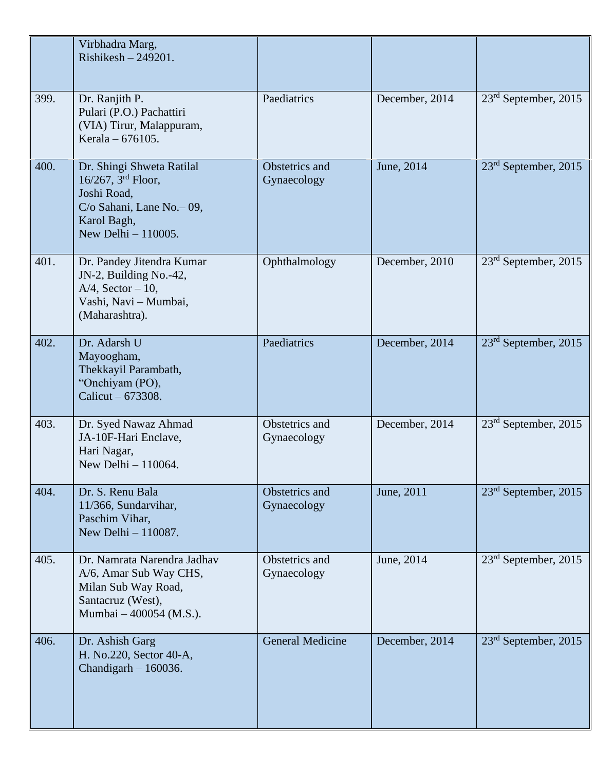|      | Virbhadra Marg,<br>$Riskesh - 249201.$                                                                                                  |                               |                |                                  |
|------|-----------------------------------------------------------------------------------------------------------------------------------------|-------------------------------|----------------|----------------------------------|
| 399. | Dr. Ranjith P.<br>Pulari (P.O.) Pachattiri<br>(VIA) Tirur, Malappuram,<br>Kerala – 676105.                                              | Paediatrics                   | December, 2014 | 23 <sup>rd</sup> September, 2015 |
| 400. | Dr. Shingi Shweta Ratilal<br>$16/267$ , $3rd$ Floor,<br>Joshi Road,<br>C/o Sahani, Lane No. - 09,<br>Karol Bagh,<br>New Delhi - 110005. | Obstetrics and<br>Gynaecology | June, 2014     | $23rd$ September, 2015           |
| 401. | Dr. Pandey Jitendra Kumar<br>JN-2, Building No.-42,<br>$A/4$ , Sector - 10,<br>Vashi, Navi - Mumbai,<br>(Maharashtra).                  | Ophthalmology                 | December, 2010 | $23rd$ September, 2015           |
| 402. | Dr. Adarsh U<br>Mayoogham,<br>Thekkayil Parambath,<br>"Onchiyam (PO),<br>Calicut - 673308.                                              | Paediatrics                   | December, 2014 | $23rd$ September, 2015           |
| 403. | Dr. Syed Nawaz Ahmad<br>JA-10F-Hari Enclave,<br>Hari Nagar,<br>New Delhi - 110064.                                                      | Obstetrics and<br>Gynaecology | December, 2014 | $23rd$ September, 2015           |
| 404. | Dr. S. Renu Bala<br>11/366, Sundarvihar,<br>Paschim Vihar,<br>New Delhi - 110087.                                                       | Obstetrics and<br>Gynaecology | June, 2011     | $23rd$ September, 2015           |
| 405. | Dr. Namrata Narendra Jadhav<br>A/6, Amar Sub Way CHS,<br>Milan Sub Way Road,<br>Santacruz (West),<br>Mumbai - 400054 (M.S.).            | Obstetrics and<br>Gynaecology | June, 2014     | 23 <sup>rd</sup> September, 2015 |
| 406. | Dr. Ashish Garg<br>H. No.220, Sector 40-A,<br>Chandigarh $-160036$ .                                                                    | <b>General Medicine</b>       | December, 2014 | 23 <sup>rd</sup> September, 2015 |